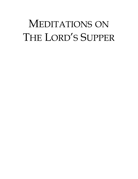# MEDITATIONS ON THE LORD'S SUPPER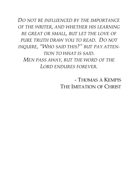*DO NOT BE INFLUENCED BY THE IMPORTANCE OF THE WRITER, AND WHETHER HIS LEARNING BE GREAT OR SMALL, BUT LET THE LOVE OF PURE TRUTH DRAW YOU TO READ. DO NOT INQUIRE, "WHO SAID THIS?" BUT PAY ATTEN-TION TO WHAT IS SAID. MEN PASS AWAY, BUT THE WORD OF THE LORD ENDURES FOREVER.*

> - THOMAS À KEMPIS THE IMITATION OF CHRIST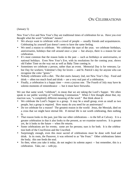### ON CELEBRATIONS

(January 5)

New Year's Eve and New Year's Day are traditional times of celebration for us. Have you ever thought what the word "celebrate" means?

- We always want to celebrate with a crowd of people -- usually friends and acquaintances. Celebrating by yourself just doesn't seem to have the same feeling.
- We need a reason to celebrate. We celebrate the start of the year; we celebrate birthdays, anniversaries, holidays that roll around once a year -- but always, there is a reason for our celebration.
- It's most common that the reason looks to the past -- such as birthdays or anniversaries, or national holidays. Even New Year's Eve, with its resolutions for the coming year, shows old Father Time on the way out as well as Baby Time coming in.
- Sometimes we celebrate a person, rather than an event. Memorial Day is for veterans; Labor Day for workers; Valentine's Day for lovers -- and St. Patrick's day for anyone who can recognize the color "green."
- Nobody celebrates with a diet. The diet starts January 2nd, not New Year's Day. Food and drink -- often too much food and drink -- are a very real part of a celebration.
- Finally, a celebration is a happy time -- even a joyous one. The Fourth of July may have its solemn moments of remembrance -- but it must have fireworks.

We use that same word, "celebrate", to mean that we are taking the Lord's Supper. We often speak in our public worship of "celebrating Communion." When I first thought about that, my reaction was, "a completely different meaning of the word." But think about it:

- We celebrate the Lord's Supper in a group. It may be a small group, even as small as two people, but a group is required. How many do you need for an anniversary?
- Do we celebrate for a reason? The greatest reason in the world: Jesus, the Messiah, died on a cross that we might have eternal life. If eternal life is not worth celebrating, then nothing is.
- That reason looks to the past, just like our other celebrations -- to the hill at Calvary. It is a greater celebration in that it also looks to the present, as we examine ourselves. It is greater yet, for it looks to the future -- when He returns.
- Some celebrations are for events; some are for persons; ours is for both. It is the celebration both of the Crucifixion and the Crucified.
- Surprisingly enough, even this most sacred of celebrations must be done with food and drink. In its roots, the Passover, it was referred to as "the Feast." Other celebrations fatten the body; this one feeds the soul.
- So then, when you take it today, do not neglect its solemn aspect -- but remember, this is a celebration. Take, eat -- with joy.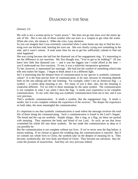#### DIAMOND IN THE SINK

#### (January 12)

My wife is not a woman given to "water power." She does not go into tears over the minor upsets of life. She is not one of those women who use tears as a weapon to get what she wants. When she cries, she means it. When she cries, I pay attention.

So you can imagine that I was extremely concerned when I came home one day to find her hovering over our kitchen sink, bawling her eyes out. She was clearly crying over something in the sink, and it wasn't onions. It took some time for me to get her sufficiently calmed to find out what happened.

She was crying because she had lost the diamond out of her engagement ring. It's interesting to see the difference in our reactions. My first thought was, "You've got to be kidding?" (If you knew how little that diamond cost -- and it was the biggest one I could afford at the time - you'd understand my first reaction). To me, it was a relatively inexpensive gemstone.

To her, however, it represented her marriage. She had lost the symbol of something which (she tells me) makes her happy. I began to think about it in a different light.

Isn't it interesting that the deepest form of communication in our species is symbolic communication? It is the least precise form of communication, to be sure, because its meaning depends both on the one talking and the one listening. For example, when I see an American flag -- a symbol -- it carries deep meaning to me. For many of you it does also, but the meaning is somewhat different. Yet we refer to these meanings by the same symbol. The communication is not complete in what I say when I show the flag; it needs your experience to be complete communication. To my wife, that ring was symbolic communication from me to her, and it was very precious.

That's symbolic communication. It needs a symbol, like the engagement ring. It needs a sender, but it is not complete without the experience of the receiver. The deeper the experience on both sides, the more meaningful the communication.

It's important to see that symbolic communication is used where the message involves the total life of those doing the communicating. Such a communication is found in the Lord's Supper. The bread and the cup are symbols. Simple things; like a ring, or a flag, yet these are packed with meaning. They represent the body and blood of our Lord. As such, we see that Jesus committed his whole life into those symbols. He has made this communication as deep as it can possibly be.

But the communication is not complete without our lives. If we've never seen the flag before, it means nothing. If we choose to ignore the wedding ring, the communication is rejected. But if we commit our whole lives to Christ, the symbols take on the deepest of meaning for us. They become, symbolically, the very body and blood of Christ. They become our salvation; they become the promise of resurrection. And they are very precious indeed.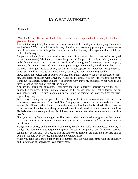# BY WHAT AUTHORITY?

(January 19)

(Mat 26:28 NIV) This is my blood of the covenant, which is poured out for many for the forgiveness of sins.

It is an interesting thing that Jesus Christ went around in his earthly ministry saying, "Your sins are forgiven." We don't think of it this way, but this is an extremely presumptuous statement - one of the many radical things Jesus said in such a humble way. Perhaps you don't think so; look at it this way:

Suppose that I decide that you need a good punch in the nose. Being a man of action (and rather limited sense) I decide to carry out this plan, and I bop you in the face. You (being a superb Christian) now have the Christian privilege of granting me forgiveness. Let us suppose, however, that Satan arises and tempts you to petty vengeance, namely, you decide to bop me in the nose. The fight seems to be on, but (let us further suppose) that Graydon Jessup steps between us. He directs you to cease and desist, because, he says, "I have forgiven him."

Now, being the logical sort of person you are, and greatly given to debate as opposed to combat, you decide to reason with Graydon. "Hold on, preacher," you say, "if I want to punch his lights out (in a decent Christian manner, of course), why, that's my business. What right do you have to forgive him and let him off the hook?"

You see the argument, of course. You have the right to forgive, because you're the one I punched in the nose. I didn't punch Graydon, so he doesn't have the right to forgive me on your behalf. Right? To turn this into a principle, only the person who is offended has the privilege of forgiving.

But hold on. In any such dispute, there are always at least two persons who are offended. In this instance you are one. The Lord God Almighty is the other, for he has ordained peace among his children. When I punch you in the nose, you bleed and He is pained. He who set the moral order of the universe is always offended when it is violated. And that doesn't count how He feels about someone punching his children (how do you feel when someone hits your children?)

Now you see why Jesus so enraged the Pharisees -- when he claimed to forgive sins, he claimed to be God. His entire purpose in coming to us was just that: to rescue us from our sins, to grant us salvation.

Vengeance is cheap, and therefore is commonly sought and sold. Forgiveness, however, is costly; the more there is to forgive, the greater the pain of forgiving. Our forgiveness cost Jesus his life, at Calvary. As God, he had the authority to forgive. As man, the price had still to be paid. He paid what I owed, and forgave me without price.

When you take the Lord's Supper, then, remember that He who died came with the authority and the purpose of forgiveness. Our forgiveness.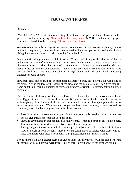# JESUS GAVE THANKS

(January 26)

(Mat 26:26-27 NIV) While they were eating, Jesus took bread, gave thanks and broke it, and gave it to his disciples, saying, "Take and eat; this is my body." *{27}* Then he took the cup, gave thanks and offered it to them, saying, "Drink from it, all of you.

We have often read this passage at the time of Communion. It is, of course, supremely important, but I suggest to you that we have often missed an important part of it. Notice that before giving the bread and wine to his disciples, he "gave thanks."

One of the first things we teach a child is to say "Thank you." It is probably the first of the social graces, but some of us have yet to master it. We are told in the Scripture to give thanks "in all circumstances" (1 Thessalonians 5:18). I remember the old story about the soldier who was about to face an artillery bombardment: "For what we are about to receive, Oh Lord, may we truly be thankful." I've never been shot at in anger, but I think I'd have a hard time being thankful for being shelled.

How then, can Jesus be thankful in these circumstances? Surely He knew that He was going to the cross. Yet, in the face of the agony of the cross and the death to follow, he "gives thanks." Some might think this just a matter of form, of politeness, of ritual -- a custom, nothing more. I think not.

The form he was following was that of the Passover. It looked back to the deliverance of Israel from Egypt; it also looked forward to the sacrifice on the cross. God created the first use - with its giving of thanks -- with the second use in mind. It is therefore appropriate that Jesus gave thanks at this time. We sometimes forget that Jesus was completely human, as well as completely God. I submit he gave thanks for these reasons:

- First, it set for us an excellent example. Every time we eat this bread and drink this cup we should give thanks for what the Lord has done.
- Next, he gave thanks in that his hour had finally come. There is a sense of anticipation here. Jesus came to be the sacrifice; the mission was almost complete.
- Finally, he gave thanks on behalf of us -- the people who needed him. It is no sin to thank God on behalf of your friends.. Indeed, we are commanded to rejoice with those who rejoice and mourn with those who mourn. Our greatest friend did just that with us.

For us, there is an even greater reason to give thanks: our salvation. With his blood we were purchased; with his body we were freed. Surely, then, "give thanks" is the least we can do.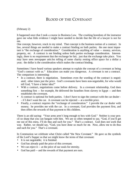### BLOOD OF THE COVENANT

#### (February 2)

It happened once that I took a course in Business Law. The crushing boredom of the instructor gave me what little evidence I might have needed to decide that the life of a lawyer is not for me.

One concept, however, stuck in my mind. That concept is the business notion of a contract. In law, several things are needed to make a contract binding on both parties; the one most important is "the exchange of consideration." Consideration is anything of value -- money, services, property, etc. A contract is not binding unless both parties exchange consideration. Interestingly, there is no requirement that the exchange be fair; just that the exchange take place. You may have seen newspaper artic les telling of some charity renting office space for a dollar a year; the dollar is the consideration which makes the contract binding.

Sometimes I have heard various speakers attempt to explain the concept of a covenant as being "God's contract with us." Education can make you dangerous. A covenant is not a contract. The comparison is interesting:

- In a contract, there is negotiation. Sometimes even the wording of the contract is negotiated; other times just the price. God's covenants have been non-negotiable, for who would tell God, "I have a better idea?"
- With a contract, negotiations come before delivery. In a covenant relationship, God does something first -- for example, He delivered the Israelites from slavery in Egypt -- and then establishes the covenant.
- A contract is optional for both parties. I don't have to sign the contract with the car dealer - if I don't want the car. A covenant can be rejected -- at a terrible price.
- Finally, a contract requires the "exchange of consideration." I provide the car dealer with money; he provides me with the car. In a covenant, God provides the payment first, and then offers the rewards of that payment to His children.

There is an old saying: "Your arms aren't long enough to box with God." Neither is your pencil so sharp that you can bargain with him. We are so often tempted to say, "God, if you'll get me out of this mess, I'll do thus and such for you." That's a contract. God does not work that way. Rather, we should say, "God, you have done so much for me. Now, allow me to do thus and such for you." That's a covenant.

In Communion we celebrate what Christ called "the New Covenant." He gave us the symbols of the Lord's Supper so that we might know the terms of that covenant:

- It is not negotiable; it is finished.
- God has already paid the price of this covenant.
- We can reject it -- at the price of our souls for eternity.
- God has paid -- and the rewards of that payment are ours.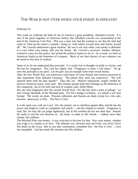#### THE WAR IS NOT OVER WHEN YOUR ENEMY IS DEFEATED

(February 9)

This week we celebrate the birth of one of America's great presidents, Abraham Lincoln. It is one of the great tragedies of American history that Abraham Lincoln was assassinated at the end of the American Civil War. This was a man who had the wisdom to see that the time had come to "bind up the nation's wounds," doing so "with malice toward none and charity toward all." Mr. Lincoln understood a great wisdom: the war is not over when your enemy is defeated. It is over when your enemy calls you his friend. Mr. Lincoln's successor, Andrew Johnson, wanted to carry out this policy, but lacked the political stature to do so. As a result, we built an American South on the bitterness of conquest. Much of our later history of race relations can be traced to this lack of wisdom.

Some of us do not understand that principle. It is easily lost in thoughts of pride in victory, and the lust for vengeance. The Lord has rightly said, "Vengeance is mine, I will repay." We ignore this principle at our peril. Let me give you an example from more recent history.

After the first World War, our politicians (and those of Great Britain and France) promised to take reparations from defeated Germany. The phrase they used was expressive: "We will squeeze them until the pips squeak!" They did, too. Massive reparations, largely funded by massive American loans, were paid. The German people built their feelings on the bitterness of the conquered; out of our folly and lack of wisdom came Adolf Hitler.

But see what happened after the second World War! We did not send a team to pillage; we sent George Marshall, of the Marshall plan. We fed a hungry Germany; we rebuilt a war torn Europe. The results are plain. Prussian militarism and Nazism are dead, except for a few adolescents; democracy is firm. The War is Over.

It is the same way with our Lord. We, the sinners, are in rebellion against Him, and He has the power and might to crush us completely and utterly -- and the wisdom to refrain. Vengeance is truly His, for only He can judge righteously, but in His wisdom He has not done that. Instead, He seeks to end the war between us; He seeks to make us His friends -- indeed, more than friends, His children.

The Marshall Plan cost money; it was criticized at the time for that. War costs money, whether you wage it in combat or in love. The ultimate war, between man and God, cost Jesus Christ His death on the Cross. But as you take communion, remember this: the War is Over -- Love has triumphed. God has made His enemies into His children.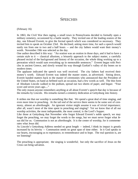#### **SPEECHES**

(February 16)

In 1863, the Civil War then raging, a small town in Pennsylvania decided to formally open a military cemetery, occasioned by a battle nearby. They invited one of the leading orators of the day, one Edward Everett, to give the formal speech which was considered so necessary. They invited him to speak on October 23rd. He declined, asking more time, for such a speech would easily run from one to two and a half hours -- and the city fathers would want their money's worth. November 19th was selected as the day.

One author described it this way: "An oration was an oration in those days, and it had to have a certain style to it -- classical allusions, a leisurely approach to the subject matter, a carefully phrased recital of the background and history of the occasion, the whole thing working up to a peroration which would sum everything up in memorable sentences." Everett began with Pericles in ancient Greece, and slowly wound his way through Ezekiel's valley of dry bones on to modern times.

The applause indicated the speech was well received. The city fathers had received their money's worth. Edward Everett was indeed the master orator, as advertised. Sitting down, Everett handed matters back to the master of ceremonies who announced that the President of the United States, on hand as befitted such an occasion, had a few words as well. The thin form of Abraham Lincoln walked to the podium, spread out two sheets of paper, and began: "Four score and seven years ago...."

The only reason anyone remembers anything at all about Everett's speech that day is because of the remarks by Lincoln. His remarks turned a cemetery dedication at Gettysburg into history.

It strikes me that our worship is something like that. We spend a great deal of time singing, and even more time in preaching. At the tail end of the service there seems to be some sort of ceremony, almost an afterthought. An ignorant visitor might assume it was of trivial importance; after all, wasn't most of the time spent in preaching and singing? Yet we know that of all our worship activities, the most indispensable, the most central, is the Lord's Supper.

Like those at Gettysburg that November who forgot Edward Everett's noble speech, we may forget the preaching, we may forget the words to the songs, but we must never forget what Jesus did for us. Communion is not an afterthought. It is the center of worship, for it commemorates what Jesus did.

As Lincoln's Gettysburg Address needed no great length -- indeed, I think its impact is greatly increased by its brevity -- Communion needs no great span of time either. In it God speaks to our hearts, encouraging us to repentance, to remembrance and to hope. The real question is, are we listening?

The preaching is appropriate; the singing is wonderful; but only the sacrifice of Jesus on the Cross can bring salvation.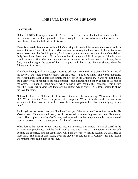# THE FULL EXTENT OF HIS LOVE

(February 23)

(John 13:1 NIV) It was just before the Passover Feast. Jesus knew that the time had come for him to leave this world and go to the Father. Having loved his own who were in the world, he now showed them the full extent of his love.

There is a certain fascination within John's writings, for only John among the Gospel authors was an intimate friend of our Lord. Matthew was not among the inner four; Luke, as far as we know, never met the Lord in person; Mark was a young man at the time of the Crucifixion. Only John knew Jesus well. His writings reflect it; they are full of the personal kinds of remembrances you find when the author writes about someone he loves deeply. It is apt, therefore, that John begins the story of the Last Supper with the words, "he now showed them the full extent of his love."

If, without having read this passage, I were to ask you, "How did Jesus show the full extent of his love?", you would probably reply, "At the Cross." You'd be right. This verse, therefore, shows us that the Last Supper was simply the first act in the Crucifixion. It was not just simply the Passover which happened the night before; Jesus planned this Supper as part of His trip to the Cross. He planned it long before, when he had Moses institute the Passover. From before time the Cross was in view, and therefore this supper was in view. In it, Jesus begins to show his love for them.

Not just his love; the "full extent" of his love. It was as if he were saying, "Now you will see it all." We see it in the Passover, a picture of redemption. We see it in the Garden, where Jesus wrestles with fear. We see it on the Cross. Is there any greater love than a man dying for another?

Look again at that verse. Not just "his love;" not just "the full extent" -- look at the verb. He *showed* them. He did not tell them; he did not reveal some startling new doctrine. He showed them. The prophets revealed God's love, and mirrored it as best they were able. Jesus showed them in person. The Lord's Supper marks the full revealing.

What does it then reveal to us? Love is, first and foremost, a sacrifice. In animal sacrifice the Passover was proclaimed, and the death angel passed over Israel.. At the Cross, Love Himself became the sacrifice, and the death angel will pass over us. When he returns, we shall rise to meet him. The price of this victory over the grave was paid for us at Calvary; for this reason we remember the full extent of his love.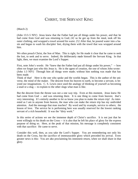# CHRIST, THE SERVANT KING

(March 2)

(John 13:3-5 NIV) Jesus knew that the Father had put all things under his power, and that he had come from God and was returning to God;  $\{4\}$  so he got up from the meal, took off his outer clothing, and wrapped a towel around his waist. *{5}* After that, he poured water into a basin and began to wash his disciples' feet, drying them with the towel that was wrapped around him.

We often preach Christ, the Son of Man. This is right, for He made it clear that he came to seek the lost, to seek and to serve. Indeed, He deliberately made himself the Servant King. In that light, then, we must examine the Lord's Supper.

First, note John's words: He "knew that the Father had put all things under his power," -- how often we forget just who this Jesus is. He is the agent of creation, the one of whom John wrote: (John 1:3 NIV) Through him all things were made; without him nothing was made that has been made.

Think of that! Here is the one who spoke and the worlds began. This is the author of the universe, the mind of the maker. The descent from his heaven to earth, to become a servant, is beyond our imaginations. C. S. Lewis once used the analogy of thinking of yourself as becoming a snail or a slug -- to explain to the other slugs what man is like.

But the descent from the throne was not a one way trip. Even at this moment, Jesus knew He had come from God -- and was returning there. It is one thing to come from heaven; that's very interesting. It's entirely another to let us know you plan to make the return trip! As interested as I am in anyone from heaven, the man who can make the return trip has my undivided attention. And the message that man teaches? By word and by example, service to others; the lesson of love. The service he is performing here was usually reserved for the lowest ranking servant of a rich household. It was the "dirty work."

In this series of actions we see the immense depth of Christ's sacrifice. It is not just that he went willingly to his death on the Cross -- it is also that he left his place of glory for the express purpose of doing so. Here, at the peak of that mission, his message is completely consistent with that sacrifice: He came to serve.

Consider this well, then, as you take the Lord's Supper. You are remembering not only his death on the Cross, but the sacrifice of immeasurable glory which preceded his arrival. Even greater news is this: You are also proclaiming his imminent return, when we shall share in that glory.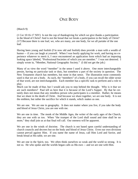# ONE BODY

#### (March 9)

(1 Cor 10:16-17 NIV) Is not the cup of thanksgiving for which we give thanks a participation in the blood of Christ? And is not the bread that we break a participation in the body of Christ? *{17}* Because there is one loaf, we, who are many, are one body, for we all partake of the one loaf.

Having been young and foolish (I'm now old and foolish) does provide a man with a wealth of humor -- if you can laugh at yourself. When I was busily applying for work, and having no experience whatever to merit it, I once encountered an application form which had an imposing looking space labeled, "Professional Societies of which you are member." I was not deterred. I simply wrote in, "Member, National Geographic Society." (I did not get the job.)

Many of us view the word "member" in the sense I used it above. One more interchangeable person, having no particular task or duty, but somehow a part of the society in question. The New Testament church has members, but none in that sense. The illustration most commonly used is that we are a body. As such, the "members" of a body, if you can recall the older sense of that word, are not interchangeable. Each member has a specific task to perform and a role to play.

Much can be made of that, but I would ask you to step behind the thought. Why is it that we are such members? Paul tell us here that it is because of the Lord's Supper. By that he certainly does not mean that any mindless person who participates is a member. Rather, he means that we share in the death of Christ. And because we share together, we are one body. It is not the emblem, but rather the sacrifice for which it stands, which makes us one.

We are one. We are one in geography. It does not matter where you live, if you take the body and blood of Jesus Christ, you are one with me.

We are one in time. The monk of the Middle Ages, the writer of the early ages of the Church, they are one with us too. When "the trumpet of the Lord shall sound and time shall be no more," they shall join us at that final roll call. Our oneness will be apparent.

We are one in the winds of doctrine. The church is not based upon careful understanding of church councils and decrees but on the body and blood of Jesus Christ. Even our own divisions cannot prevail against Him. If you name the name of Jesus, call Him Lord and Savior, and break bread at His table, we are one.

We are one in the Spirit, too. We often think ourselves so weak and the world so strong. It is not so. He who spoke and the worlds began calls us His own -- and we are one with Him.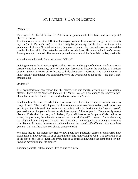# ST. PATRICK'S DAY IN BOSTON

#### (March 16)

Tomorrow is St. Patrick's Day. St. Patrick is the patron saint of the Irish, and (one suspects) also of the drunk.

It is the custom in the city of Boston that anyone with an Irish surname can get a free drink in any bar (on St. Patrick's Day) in the city merely by presenting identification. So it was that a gentleman of obvious Oriental extraction, Japanese to be specific, pounded upon the bar and demanded his free drink. The bartender, naturally, was dubious. He demanded a driver's license. It was promptly produced. The bartender poured him a shot of the finest Irish whisky available.

And what would you do for a man named "Ohara?"

Nothing so marks the American spirit as this: we are a melting pot of culture. My long ago ancestors came from Germany, only to have their descendant discover the wonders of Mexican cuisine. Surely no nation on earth cares so little about one's ancestors. It is a complete joy to know that my grandfather was born (literally) on the wrong side of the tracks -- and that it matters not at all.

Or does it?

It is my unfortunate observation that the church, like our society, divides itself into various classes. There are the "ins" and there are the "outs." We are pious enough on Sunday to proclaim that Jesus died for all -- but on Monday we know who's who.

Abraham Lincoln once remarked that God must have loved the common man--he made so many of them. The Lord's Supper is a time when we must examine ourselves, and I must suggest to you that this week, the week most associated with St. Patrick and the "lower classes", you need to examine your attitude towards those who don't live as you do. Do you really recognize that Christ died for them, too? Indeed, if you will look at the Scripture, Christ said to the sinner, the prostitute, the thieving bureaucrat -- the workaday stiff -- repent. But to the pious, the religious leader, the proud, he said, "Be born again." He recognized that being privileged is a terrible disadvantage: it makes you believe that you are indeed self sufficient. You may think you are. Tell me, then, how you plan to conquer death!

We must face it: no matter how rich or how poor, how politically correct or disfavored, how fashionable or how bovine, all of us stand in the same relationship to God. The ground is level at the foot of the Cross. Each and every one of us must acknowledge the same thing, or die: "God be merciful to me, the sinner."

Examine yourself; ask his mercy. It is as sure as sunrise.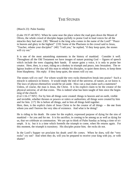# THE STONES

(March 23) Palm Sunday

(Luke 19:37-40 NIV) When he came near the place where the road goes down the Mount of Olives, the whole crowd of disciples began joyfully to praise God in loud voices for all the miracles they had seen: {38} "Blessed is the king who comes in the name of the Lord!" "Peace in heaven and glory in the highest!" {39} Some of the Pharisees in the crowd said to Jesus, "Teacher, rebuke your disciples!" {40} "I tell you," he replied, "if they keep quiet, the stones will cry out."

It is one of the most astonishing statements in the history of mankind. Consider it well. Throughout all the Old Testament we have images of nature praising God -- figures of speech which include the trees clapping their hands. If nature gains a voice, it is only to praise her creator. Here, then, is a man, riding on a donkey in triumph and peace, into Jerusalem. The religious leaders of the day tell this man to rebuke his disciples, to quiet them down, to keep them from blasphemy. His reply: if they keep quiet, the stones will cry out.

The stones will cry out? For whom would the very rocks themselves break into praise? Such a miracle is unknown in history. It would imply the end of the universe, of nature, as we know it. The laws of physics themselves would be set aside. How can a man make such a statement? Unless, of course, the man is Jesus, the Christ. It is his explicit claim to be the creator of the physical universe, of all that exists. This is indeed what has been taught of him since the beginning of the church:

(Col 1:16-17 NIV) For by him all things were created: things in heaven and on earth, visible and invisible, whether thrones or powers or rulers or authorities; all things were created by him and for him. {17} He is before all things, and in him all things hold together.

Here, then, is the explicit claim of Jesus Christ to be the creator of all things -- the one from whom you and I borrow the very idea of existence. And what is he doing?

He is riding to his death. He came for the explicit, expressed purpose of dying for the sins of mankind -- for you and for me. It is his sacrifice, in coming to be among us as well as dying for us, that we celebrate at communion. We are apt to think of Palm Sunday as being a time of triumph. It is; but it is a time which foretells the triumph to come, when He returns again. For this moment, the triumph is transitory. His disciples praise him; the rocks do not.

In the Lord's Supper we proclaim his death *until He comes.* When he does, will the "very rocks" cry out? And when they do, will you be prepared to receive your king with joy, or with shame?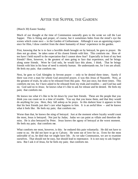### AFTER THE SUPPER, THE GARDEN

#### (March 30) Easter Sunday

Much of our thought at the time of Communion naturally goes to the scene we call the Last Supper. This is fitting and proper, of course, but it sometimes hides from the mind's eye the scenes which come next -- in the Garden of Gethsemane. Although it was an agonizing experience for Him, I draw comfort from the sheer humanity of Jesus' experience in the garden.

First, knowing that he is to face a horrible death brought on by betrayal, he goes to prayer. He does not go alone; he takes some of his closest friends with him. This comforts me. How often have I held myself to the expectation that I cannot show fear? Especially in front of my best friends? Here, however, is the greatest of men going to face that experience, and he brings along some friends. Were he God only, he would face this alone, I think. That he brings friends with him in his hour of need is entirely human. He understands me, for I too am afraid. He feels my pain; that comforts me.

Next, he goes to God Almighty in fervent prayer -- only to be denied three times. Surely if there was ever a man for whom God answered prayer, it was this Jesus of Nazareth. Now, at the greatest of trials, he asks to be released from this pain. Not just once, but three times. This comforts me too, for I have asked to be released from my trials and troubles -- and God has said no. God said no to Jesus; he knows what it's like to ask for release and be denied. He feels my pain; that comforts me.

He knows too what it's like to be let down by your best friends. These are the people that you think you can count on in a time of trouble. You say that you know them, and that they would do anything for you. Here, they fall asleep as he prays. In this darkest hour it appears to him that his best friends just don't care what happens to him. It is an awful blow -- and he knows what it feels like. He feels my pain; that comforts me.

Worse than that, he knows the sting of betrayal. Just at the moment where loyalty would count the most, Jesus is betrayed. Not just by Judas; Judas we can paint as villain and therefore dismiss. He is also betrayed by Peter. Jesus knows the agony of betrayal at the worst moment. He feels my pain; that comforts me.

What comforts me most, however, is this: he endured this pain voluntarily. He did not have to come to us; He did not have to go to Calvary. He went out of love for us. Even for the most unlovable of us, he died that we might have life. As we take Communion, we are to examine ourselves. That should not be easy, but should lead to repentance. It is not easy to ask forgiveness. But I ask it of Jesus, for he feels my pain; that comforts me.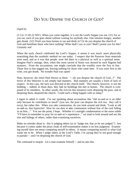# DO YOU DESPISE THE CHURCH OF GOD?

(April 6)

(1 Cor 11:20-22 NIV) When you come together, it is not the Lord's Supper you eat, *{21}* for as you eat, each of you goes ahead without waiting for anybody else. One remains hungry, another gets drunk. *{22}* Don't you have homes to eat and drink in? Or do you despise the church of God and humiliate those who have nothing? What shall I say to you? Shall I praise you for this? Certainly not!

When the early church celebrated the Lord's Supper, it seems it was much more physically nourishing than the symbolic method we use today. I suspect that the Passover feast materials were used, and so it was that people were fed there in a physical as well as a spiritual sense. Imagine Paul's outrage, then, when this most sacred of feasts was abused by such flagrant bad manners. From the accusations, one might conclude that the wealthy were the first in line. Those first in line pigged out, leaving nothing for those who came later. If you were first to the wine, you got drunk. No wonder Paul was upset!

Note, however, the retort Paul throws at them: "...do you despise the church of God...?" The terror of this behavior is not simply bad manners. Bad manners are usually a form of lack of respect. In this case, the lack was directed at the church itself. The church, however, is not the building -- indeed, in those days, they had no buildings but met in homes. The church is composed of its members. In other words, the rich (in this instance) were despising the poor, and in despising them, despised the church. Could such a thing happen with us today?

I regret to admit it could. I'm not speaking about accusations like "old so-and-so is an elder only because he contributes so much" (you see, the poor can despise the rich too; they call it *envy*), but rather this. When you take communion, do you look around and think, "Look at old so-and-so, that hypocrite! How he can dare to take communion without fear of the roof falling in on him...." You see the point, I hope. Whether it's outright condemnation or the more subtle "I'll have to remember to pray for so-and-so's repentance..." we tend to look around and see the sins and failings of others, rather than examining ourselves.

Make no mistake about it: this is judging others (as in "judge not, that ye be not judged.") Just because it comes under the pious cloak of self-examination makes it no less judgment. Examining myself does not mean comparing myself to others. It means comparing myself to what God wants me to be. When I judge others at the Lord's Table, I'm saying they're not good enough to partake -- and I'm despising the church of God.

The command is simple: Let a man examine *himself* -- and no one else.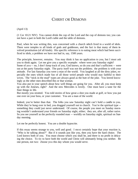# CHRIST OR DEMONS

#### (April 13)

(1 Cor 10:21 NIV) You cannot drink the cup of the Lord and the cup of demons too; you cannot have a part in both the Lord's table and the table of demons.

Paul, when he was writing this, was concerned with a church which lived in a world of idols. There were temples to all kinds of gods and goddesses, and the fact is that many of them involved prostitution (of all kinds). His specific reference is to eating meat which had been sacrificed to idols, a problem we have not had in, say, 1500 years.

The principle, however, remains. You may think it has no application to you, but I must ask you to think again. Let me give you a specific example: where were you Saturday night?

Some of you -- no, I don't keep track of you, God knows, so do you and that's sufficient -- were out at the party Saturday night. The party itself was not the problem; the problem is with your attitude. For last Saturday you were a man of the world. You laughed at all the dirty jokes, especially the ones which made fun of all those weird people who would stay faithful to their wives. The "stick in the mud" types are always good as the butt of the joke. You leered knowingly as the other men described this or that woman.

You also put in your speech about how well things are going for you. After all, you must keep up with the Joneses, right? And the new Mercedes is lovely. One must have a taste for the finer things in life.

But mostly you strutted. You told stories of how great a shot you made at golf, or how you put one over on your boss, or your customer. You are a man of the world.

Indeed, you're better than that. The folks you saw Saturday night can't hold a candle to you. While they're hung over in bed, you dragged yourself out to church. You're the spiritual type -something they could just never understand. Of course, the people you meet on Sunday morning wouldn't understand your friends on Saturday night, either; they are, after all, rather naive. So you see yourself as the perfectly rounded man -- worldly on Saturday night, spiritual on Sunday morning.

Let me be perfectly honest. You are a double hypocrite.

If this essay seems strange to you, well and good. I most certainly hope that your reaction is, "Who is he talking about?" But if it sounds just like you, then you have the hard choice. The Lord knows both of you. You must choose which you shall be, and there is no profit in delaying the choice. To try to have both the world and Christ will ultimately bring you neither. Be one person, not two: choose you this day whom you would serve.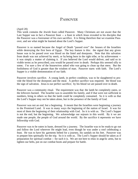### PASSOVER

#### (April 20)

This week contains the Jewish feast called Passover. Many Christians are not aware that the Last Supper was in fact a Passover feast -- a feast in which Jesus revealed to his disciples that the Passover was a forerunner of his own sacrifice. It is fitting therefore that we examine Passover, and see what might be learned about the Lord's Supper.

Passover is so named because the Angel of Death "passed over" the houses of the Israelites while destroying the first born of Egypt. The key feature is this: the signal that any given house was to be passed over was blood on the lintel and doorposts. Note that this salvation from death was not achieved by merit, or by being born in the right tribe, or by achievement - it was simply a matter of claiming it. If you believed the Lord would deliver, and said so in visible terms as he prescribed, you would be passed over in death. Perhaps this seemed silly to some; I'm sure a few of the housewives asked who was going to clean up that mess. But the foolishness of God is greater than the wisdom of man. Passover starts with faith. The Lord's Supper is a visible demonstration of our faith.

Passover involves sacrifice. A young lamb, in perfect condition, was to be slaughtered to provide the blood for the doorposts and the meal. A perfect sacrifice was required; the blood was the sign of salvation. Jesus is our perfect sacrifice; by his blood we are passed over in death.

Passover was a community ritual. The requirement was that the lamb be completely eaten, or the leftovers burned. The Israelite was to assemble his family, and if that were not sufficient in numbers, bring in others so that the lamb could be completely consumed. So it is with us that the Lord's Supper may not be taken alone, but in the presence of the family of God.

Passover was not an end, but a beginning. It meant that the Israelites were beginning a journey to the Promised Land. It was in many ways the beginning of the nation of Israel. It was for most of them the beginning of their relationship with God. So it is with us. The Lord's Supper is not the end, but the beginning. We acknowledge our sojourn in this world. By it we are made one people, the people of God around the world. By the sacrifice it represents we have fellowship with God.

Passover was to be eaten in haste, dressed for a journey. The Israelite was to be ready to go out and follow the Lord wherever He might lead, even though he was under a roof celebrating a feast. He was to have his garments belted for a journey, his sandals on his feet. Passover was to prepare him spiritually for the trip. So it is with us. The Lord's Supper should be taken as if preparation for spiritual combat -- for such it is. We are not here to relax in angelic arms, but to tighten our belts, put on our combat boots and prepare for battle.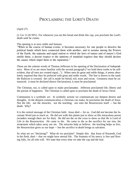# PROCLAIMING THE LORD'S DEATH

(April 27)

(1 Cor 11:26 NIV) For whenever you eat this bread and drink this cup, you proclaim the Lord's death until he comes.

The opening is at once noble and famous:

"When in the course of human events, it becomes necessary for one people to dissolve the political bands which have connected them with another, and to assume among the Powers of the Earth, the separate and equal station to which the laws of nature and of nature's God entitle them, a decent respect to the opinions of mankind requires that they should declare the causes which impel them to the separation."

These are the solemn words of Thomas Jefferson in his opening of the Declaration of Independence. Most of us are more familiar with the second paragraph ("we hold these truths to be selfevident, that all men are created equal..."). When men do great and noble things, it seems absolutely required that they be prefaced with great and noble words. The line is drawn in the sand; the Rubicon is crossed; the call is made for blood, toil, tears and sweat. Greatness must be announced; it must be declared (hence Declaration); it must be proclaimed.

The Christian, too, is called upon to make proclamation. Jefferson proclaimed life, liberty and the pursuit of happiness. The Christian is called upon to proclaim the death of Jesus Christ.

Communion is a symbolic act. In symbolic actions we communicate our deepest desires and thoughts. In the deepest communication a Christian can make, he proclaims the death of Jesus. Not the life; not the miracles; not the teaching; not even the Resurrection itself -- but the death. Why?

It is the central message of the Christian faith: Jesus died -- for us. God did not become the Incarnate Word just to teach us. He did not walk this planet just to show us His miraculous power (wonders enough there are for that). He did not die on the cross to show us that He is Lord of Life in the Resurrection. He came to die. He came to die as the sacrifice for our sins, the atonement which takes away our sin. The miracles help us believe; the teaching helps us live; the Resurrection gives us our hope -- but the sacrifice in death brings us salvation.

So what are we "declaring?" What do we proclaim? Simply this: that Jesus of Nazareth, God in the flesh, died -- that we might have eternal life. The fountain of his mercy is free and flowing fully, for all who will. We state that every time we take the cup and the loaf.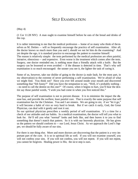#### SELF EXAMINATION

(May 4)

(1 Cor 11:28 NIV) A man ought to examine himself before he eats of the bread and drinks of the cup.

It is rather interesting to me that the medical profession -- home of so many who think of themselves as M. Deities -- will so frequently encourage the practice of self examination. After all, the doctor knows so much more than you and I, should we not let him do the examining? And yet despite the ego, it is standard practice to encourage the patient to examine himself. The reason is relatively simple: the tests performed by the medical profession are often painful, intrusive, obnoxious -- and expensive. Even worse is the treatment which comes after the tests. Surgery, one doctor reminded me, is nothing more than a friendly attack with a knife. But the surgery can be lessened or even avoided -- if the disease is detected in time. That's why self examination is so much encouraged: the sooner you see it, the lighter the task of curing it.

Some of us, however, take our dislike of going to the doctor (a male fault, for the most part, in my observation) to the extreme of never performing a self examination. We're afraid of what we might find. You think not? Have you ever felt around inside your mouth and discovered something that "felt funny?" Did you have the temptation to say, "Well, it's probably nothing -- no need to call the dentist on this one?" Of course, when it begins to hurt, you'll hear the dentist say those painful words, "I wish you had come in when you first noticed this."

The purpose of self examination is not to prevent disease. It is to minimize the impact the disease has, and provide the swiftest, least painful cure. That is exactly the same purpose that self examination has for the Christian. You and I are sinners. We are going to sin; if we "let it go," it will become a habit of vice so very hard to break. But if we catch it early, God, the Great Physician, can deal with it gently and root it out.

So our spiritual physician prescribes a weekly period of self examination. It's a time for a check of our attitudes and our habits. In a medical examination, the doctor will tell you what to look for. He'll tell you what "normal" looks and feels like, and then leaves it to you to find something that doesn't match that pattern. So it is with our heavenly physician. He has given us the pattern we should conform to -- our Lord, Jesus Christ. As we approach the Lord's Supper, we should be fully aware of our sins.

For there is one thing else. More and more doctors are discovering that the patient is a very important part of the cure. It is so in spiritual life as well. If you will not examine yourself, you will not confess your sins. If you will not confess, you will not repent. If you will not repent, you cannot be forgiven. Healing power is His; the next step is ours.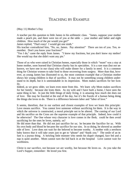#### TEACHING BY EXAMPLE

(May 11) Mother's Day

A teacher put this question to little James in his arithmetic class. "James, suppose your mother made a peach pie, and there were ten of you at the table -- your mother and father and eight children. How much of the pie would you get?"

James replied, "That's easy! I would get one ninth."

His teacher contradicted him, "No, no, James. Pay attention!" There are ten of you. Ten, remember. Don't you know your fractions?"

"Yes I do," came the reply from James. "I know my fractions, but you don't know my mother! She would say that she didn't want any pie."

Those of us who were raised in Christian homes, especially those in which "mom" was a stay at home mother, soon learned that Christian charity has its specialties. It is a rare man (but not unknown, we have one in our class) who will make dinner for a family in need. It is a common thing for Christian women to take food to those recovering from surgery. More than that, however, as young James has illustrated to us, the most common example that a Christian mother shows her young children is that of sacrifice. It may not be something young children understand to its depth, but it is unmistakable in its impression. Mom makes sacrifices for her family.

Indeed, as we grow older, we learn even more from this. We learn *why* Mom makes sacrifices for her family: because she loves them. As my wife and I have built a home, I have seen the same thing in her. In just the little things of daily living, it is amazing how much she does out of love. She may be frazzled at the end of the day, but it's the frazzle of a human being doing the things she loves to do. There is a difference between labor and "labor of love."

It seems, therefore, that in our earliest and closest examples of love we learn this principle: Love means sacrifice. You cannot love someone without sacrificing for them. It is the way in which the universe is constructed, a moral principle not to be altered. The coming of our Lord and his sacrifice on the Cross are the supreme example of that principle. Indeed, how could it be otherwise? The One whose very character is love comes in the flesh; could he then avoid sacrificing for the ones he loves, namely, us?

He did more than that. He did not just sacrifice for us; he became the Sacrifice for us. With his own body and blood he became the sacrifice for our sins. In so doing, he showed us another side of love. Love does not wait for the beloved to become worthy. A mother with a newborn baby knows that it will take years just to get to "please" and "thank you." The smile of an infant is a joyous thing. A howling little monster who needs his diaper changed, face fed and a nap is quite another. Mom cannot turn the kid back in at the hospital Love cannot wait for worthiness.

Christ is our sacrifice, not because we are worthy, but because He loves us. As you take the Lord's Supper, remember: He loved you first.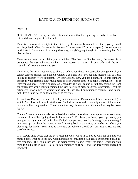# EATING AND DRINKING JUDGMENT

#### (May 18)

(1 Cor 11:29 NIV) For anyone who eats and drinks without recognizing the body of the Lord eats and drinks judgment on himself.

There is a consistent principle in the Bible: by the standards you set for others, you yourself will be judged. (See, for example, Romans 2; also verse 27 in this chapter.) Sometimes we participate in Communion in a thoughtless way, not giving any thought to the warning that Paul gives us here.

There are two ways to proclaim your principles. The first is to live by them; the second is to pronounce them (usually upon others). For reasons of space, I'll deal only with the first method, and leave the second to you.

Think of it this way: you come to church. Often, you dress in a particular way (some of you cannot come to church, for example, without a coat and tie.) You act, and mean to act, as if this "going to church" were important. By your actions, then, you set a standard. If this standard applies to your clothing, how much more to your worship life? You take Communion -- or at least you did once -- with a solemn look, considering your life and its failings, asking the Lord for forgiveness while you remembered the sacrifice which made forgiveness possible. By these actions you proclaimed (to yourself and God, at least) that Communion is solemn -- and important. It is a thing not to be taken lightly, so say you.

I cannot say I've seen too much frivolity at Communion. Drunkenness I have not noticed (for which Paul chastised these Corinthians). Such disorder would be socially unacceptable -- and this is a polite congregation. There is another way, however, that Communion may be taken lightly.

You can't see it on the outside, for indeed this method depends on outer appearances remaining the same. It is called "going through the motions." You bow your head; your lips move; you wait just the right time and with a humble look you partake. You're thinking about the cute girl two rows up; or about the mound of work waiting back at the office, or maybe just where you plan to go for lunch. Your mind is anywhere but where it should be: on Jesus Christ and His sacrifice for you.

C. S. Lewis once wrote that the devil does his worst work in us not by what he puts into our minds but by what he keeps out. Communion is not meant to be a passive experience but an active reminder. The Bible describes it in action verbs: "take," "eat," "do this." Discipline your mind to God's life in you. Do this in remembrance of Him -- and reap forgiveness instead of judgment.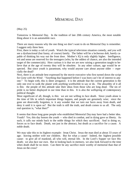### MEMORIAL DAY

(May 25)

Tomorrow is Memorial Day. In the tradition of late 20th century America, the most notable thing about it is an automobile race.

There are many reasons why the one thing we don't want to do on Memorial Day is remember. I suggest only three here.

First, there is today a cult of youth. Watch the typical television situation comedy, and you will see a dysfunctional (but funny, of course) family. The father will be a lecherous dolt, barely capable of thinking his way out the front door. Mother's IQ is only slightly higher. Intelligence, wit and sense are reserved for the teenagers (who, by the oddest of chance, are also the intended target of the commercials). How curious it is that we are now raising a generation taught to believe that at the age of twenty they will be obsolete. In any other culture, age would be respected. But since youth is paramount, why would anyone care about anyone older -- especially the dead?

Next, there is an attitude best expressed by the movie executive who first turned down the script for *Gone with the Wind*: "Anything that happened before I was born can't be of interest to anyone." To begin with, this is sheer arrogance; it is the attitude that the current generation is the only one ever to walk the planet with anything worthwhile to say or do. The absurdity of it all is this: the people of this attitude take their ideas from those who are long dead. The sin of pride is no better displayed in our time than in this. It is also the wellspring of contemporary political thought.

Most significant of all, though, is this: we are not willing to face death. Since youth alone is the time of life in which important things happen, and people are genuinely wise; since the gone are deservedly forgotten, is it any wonder that we turn our faces away from death, and deny it until it is upon us? But the truth is still the truth, and death comes to us all. The only real question is, "what then?"

It seems that those long gone people who established Memorial Day may have had a better idea. Youth? Yes, this day honors the youth -- who died in combat, and in dying gave us liberty. As such, it calls our minds back to the noble things for which they sacrificed. And in doing so, forces us to face death. Death, not just in the abstract, but death as a sacrifice for a cause. A noble death.

We may take this to its highest example: Jesus Christ. Jesus the man died at about 33 years of age; leaving neither wife nor children. But for what a cause! Indeed, the highest possible cause: to give all of mankind, all who will, eternal life. In the Lord's Supper we face His death; we also face our own. But in looking back in memory, we also look forward to the time when death shall be no more. Can there be any sacrifice more worthy of memorial than that of Jesus on the cross?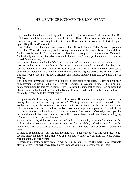# THE DEATH OF RICHARD THE LIONHEART

#### $(June 1)$

If you are like I am, there is nothing quite so entertaining to watch as a good swashbuckler. Recall if you can all those pictures you saw about Robin Hood. It's a story that's been used many times in Hollywood. We forget that while Robin Hood is a bit shadowy as a historical figure, "good King Richard" was not.

King Richard, the Lionheart. As Winston Churchill said, "When Richard's contemporaries called him 'Couer de Lion" they paid a lasting compliment to the king of beasts. Little did the English people owe him for his services, and heavily did they pay for his adventures. He was in England only twice for a few short months in his ten years' reign; yet his memory has always stirred English hearts,..."

My concern here is not for his life, but the manner of his dying. In 1199, in a dispute over treasure, he laid siege to a castle in Chaluz, France. He was wounded in the shoulder by an arrow. Gangrene set in, and he knew that death was at hand. He arranged matters in accordance with the principles by which he had lived, dividing his belongings among friends and charity. The archer who shot him was now a prisoner, and Richard pardoned him, and gave him a gift of money.

The thing that interests me most is this: for seven years prior to his death, Richard had not been to confession (he was a Catholic, as were all Christians in Western Europe at that time) nor taken communion for that seven years. Why? Because he knew that at confession he would be obliged to admit his hatred for Philip, the King of France -- and would then be compelled by his faith to be reconciled to his mortal enemy.

In a great man's life we may see a mirror of our own. How many of us approach communion hoping that God will let sleeping worms lie? Wanting so much not to be reminded of the grudge we hold, or the vengeance we want to take, or the secret sin that lies hidden in our minds -- known only to God and to ourselves. We mutter a prayer, hoping that God will let us by one more week without having to face ourselves as He sees us. Gradually, we hope, the nerve endings will become numb, and we will no longer hear the still small voice telling us, "Confess your sins to me, and be clean."

Richard at least played the man. He put it off as long as he could, but when the time came, he took it with calm courage -- and reconciliation. He forgave Philip; indeed he even forgave the archer who had shot the bolt that was to kill him. I wonder how many of us could forgive our killer.

If there is something in your life this morning that stands between you and God, get it out. Richard knew the hour of his death; you and I do not. Would you walk from his house without reconciliation and forgiveness?

Richard, at his death, forgave even the man who killed him. His knights were not so charitable after his death. The archer was flayed alive. Choose you this day whom you will serve.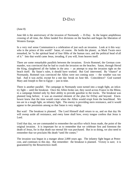### D-DAY

#### (June 8)

June 6th is the anniversary of the invasion of Normandy -- D-Day. In the largest amphibious crossing of all time, the Allies landed five divisions on the beaches and began the liberation of Western Europe.

In a very real sense Communion is a celebration of just such an invasion. Look at it this way: who is the prince of this world? Satan, of course. He holds the planet; as Mark Twain once remarked, he "is the spiritual head of four fifths of the human race, and the political head of all of it." Into that world came Jesus, invading, if you will, from heaven itself.

There are some remarkable parallels between the invasions. Erwin Rommel, the German commander, was convinced that he had to crush the invasion on the beaches. Satan, through Herod the King, slaughtered all the babies in the area -- an attempt to stop the invasion right on the beach itself. By Satan's rules, it should have worked. But God intervened. By "chance" at Normandy, Rommel was convinced the Allies were not coming soon -- the weather was too bad. And it was awful, except for a one day break on June 6th. Coincidence? God warned Mary and Joseph to flee to Egypt -- just in time.

There is another parallel. The campaign in Normandy soon turned into a tough fight, an infantry fight -- until the breakout. Once the Allies broke out, they raced across France to the Rhine, in a campaign limited only by their ability to provide gasoline to the trucks. The breakout was planned long before; it was an essential element of the plan for D-Day and beyond. Eisenhower knew that the time would come when the Allies would erupt from the beachhead. We too are in a tough fight, an infantry fight. The enemy is providing stern resistance, and it would appear to the pessimists among us that Satan is very mighty.

But wait! The breakout is planned. The Lord Himself shall return to us, and on that day He will sweep aside all resistance, and every knee shall bow, every tongue confess that Jesus is Lord.

Until that day, we are commanded to remember the sacrifice which Jesus made, the point of the original invasion. It is important for us to remember that we celebrate first and foremost the death of Jesus, for in that death our eternal life was purchased. But in so doing, we also need to remember that we proclaim His death "until He comes."

The invasion was begun in a manger about 2,000 years ago. The infantry fight began at Pentecost, and continues to this day. But remember: the breakout is planned. Victory is sure; it is guaranteed by the Resurrection itself.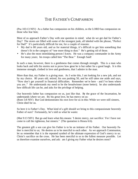# THE FATHER'S COMPASSION

(Psa 103:13 NIV) As a father has compassion on his children, so the LORD has compassion on those who fear him;

Most of us approach Father's Day with one question in mind: what do we get dad for Father's Day? The stores are filled with some of the strangest junk, all labeled with the phrase, "Perfect" for Dad!" It's particularly difficult for me, for a couple of reasons:

- My dad is 80 years old, and as for material things, it's difficult to get him something that doesn't fit in the category of "one more thing to dust." He's getting rid of those.
- He's also the most intimidating person I know. He was a company commander in the Army for many years; his troops called him "The Bear." Enough Said!

In such a man, however, there is a gentleness that comes through strength. This is a man who looks back and tells his stories not to prove how great he is but rather for a good laugh. It is this immense strength, clothed in love and gentleness, that I admire in the man.

More than that, my Father is a giving man. As I write this, I am looking for a new job, and not by my choice. 80 years old, retired, his son pushing 50, and he still takes me aside and says, "Now don't get yourself in financial difficulties. Remember we're here - and I've been where you are.." He understands my need to be the breadwinner (none better); he also understands how difficult life can be, and asks for the privilege of helping.

Our heavenly father has compassion on us, just like that. By the grace of the Incarnation, he understands where we are. By his great love, he has mercy on us:

(Rom 5:8 NIV) But God demonstrates his own love for us in this: While we were still sinners, Christ died for us.

So here it is Father's Day. What kind of a gift should we bring to this compassionate heavenly Father of ours? Fortunately, he's told us what he wants:

(Mat 9:13 NIV) But go and learn what this means: 'I desire mercy, not sacrifice.' For I have not come to call the righteous, but sinners." (The quotation is Hosea 6:6).

The greatest gift a son can give his Father is to be an imitator of his Father. Our heavenly Father is merciful to us; He desires us to be merciful to each other. As we approach Communion, let us remember that it is the repeated symbol of the ultimate expression of God's mercy to us: Christ's sacrifice on the cross. He has been merciful to us to the fullest measure possible. Let us therefore examine ourselves, and ask: am I giving my Father what he desires most?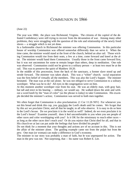#### COMMUNION IN 1866

#### (June 22)

The year was 1866; the place was Richmond, Virginia. The citizens of the capitol of the defeated Confederacy were still trying to recover from the devastation of war. Among many other problems, they were struggling with the question of the role and relationship of the newly freed slaves -- a struggle which is not yet done.

In a fashionable church in Richmond the minister was offering Communion. In this particular house of worship Communion was offered somewhat differently than we serve it. When the time came, the minister would stand at the front of the church, behind an altar rail. Those wishing Communion would rise from their seats, a few at a time, come forward and kneel at the altar. The minister would hand them Communion. Usually those in the front came forward first, but it was not uncommon for some to remain longer than others, deep in meditation. One rule was observed: Communion could not be given to a solitary person -- at least two must be at the rail. This was to preserve the spirit of Matthew 18:20.

In the middle of this procession, from the back of the sanctuary, a former slave stood up and strode forward. The minister was taken aback. This was a "white" church; racial separation was the firm belief of virtually all the members. This was also the Lord's Supper. The minister hesitated. The man was at the rail alone; he was not obliged to serve Communion to a solitary worshiper. What was he to do? All eyes in the congregation were on him.

At this moment another worshiper rose from his seat. He was an elderly man, with gray hair, but tall and erect in his bearing -- military, we would say. He walked down the aisle and without a word knelt by the "man of color" (as the phrase is today) to take Communion. His example decided the minister's action; Communion was served to both men together.

We often forget that Communion is also proclamation. (1 Cor 11:26 NIV) For whenever you eat this bread and drink this cup, you proclaim the Lord's death until he comes. We forget that by this act we proclaim Christ, and all that he taught, to all who observe. It is easy to do so here in the Lord's house. Do we proclaim it in the world as well? Indeed, do we even proclaim it in the Lord's house? Examine yourself; does it feel uncomfortable to you when you see people of other races and color worshipping with you? Is it OK for the missionary to reach other races - as long as the other races don't reach you? Or do you rejoice that Christ died for all, and that in His church we at last can put aside the feelings that have divided his people?

Do not think for a moment that your thoughts and actions are of no account in this. This is not the affair of the minister alone. The guiding example came not from the pulpit but from the pew. One man (or woman) can make a difference in God's economy.

The minister in our story was probably a man of faith, but he was unprepared for action. The man in the pew was not. Not surprising, that -- his name was Robert E. Lee.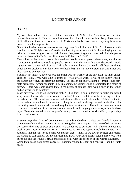### UNDER THE ARMOR

#### (June 29)

My wife has had occasion to visit the convention of ACSI - the Association of Christian Schools International. You can see all kinds of items for sale there, as they always have an exhibit hall where those who want to sell to Christian schools. You can see anything from textbooks to travel arrangements.

One of the hokier items for sale some years ago was "the full armor of God." It looked exactly identical to the "Knight's Armor" sold at the local toy stores -- except for the packaging and the price tag. It was designed for a child of about five years of age, and consisted of all the pieces of armor given in Paul's famous illustration, in Ephesians 6:13-17.

Take a look at that armor. Armor is something people wore to protect themselves, and this armor was designed to be visible to people. So it is with the armor that Paul described -- truth, righteousness, the Gospel of peace, faith, salvation and the word of God. All these are things which are on display in our daily lives (or should be). So we may consider that this armor was also meant to be displayed.

You may not know it, however, but the armor was not worn over the bare skin. A linen undergarment -- silk, if you were able to afford it -- was always worn. It was to be tightly woven; the tighter the weave, the better the garment. The reason for this was simple: armor is not complete protection. Armor has joints in it. In combat, the soldier would be subjected to a storm of arrows. There was some chance that, in the action of combat, gaps would open in the armor and an arrow would penetrate.

What difference would an undershirt make? Just this: a silk undershirt in particular would wrap around the arrowhead as it went in -- making it easy to pull it out without having to cut the arrowhead out. The result was a wound which normally would heal cleanly. Without that shirt, the arrowhead would have to be cut out, making the wound much larger -- and much filthier, for the cutting would be done with an ordinary knife or short sword. The silk shirt was not meant to be seen, but without it an ordinary wound would result in gangrene -- always fatal in those days. True, the wound would be painful in any case -- but with the silk shirt, you probably lived to tell about it.

In some ways the taking of Communion is our silk undershirt. Unless our friends happen to come to worship with us, they don't see us taking the Lord's Supper. The time of self examination serves the same purpose as the silk. We cannot say to our Lord, "Oh, I haven't sinned this week, I don't need to examine myself." We must confess and repent to truly be one with him. And that, like the silk, keeps a small wound just that -- small. If we swiftly confess and repent, the wound is still painful, but the sin does not grow. Our Lord plucks Satan's arrow out from our souls, and the wound is small and quickly heals with the attention of the Master Physician. Come then, make your armor complete. Examine yourself, repent and confess -- and be whole again.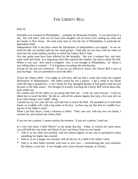# THE LIBERTY BELL

(July 6)

Humidity was invented in Philadelphia -- probably by Benjamin Franklin. It was that kind of a day. My wife and I, with our two boys (our daughter not yet born) were visiting my sister and her family in New Jersey. We took some time to visit the city of Philadelphia, in particular Independence Hall.

Independence Hall is the place where the Declaration of Independence was signed. As we entered the hall, our families split up into small groups. I had only my two boys with me when we went into the small outdoor pavilion in which the Liberty Bell is kept.

Our tour guide must have been affected by the humidity. She was a summer hire, and obviously tired and bored. In a sing-song voice that matched the weather, she told us about the bell. Where it was cast; how much it weighed; how it was brought to Philadelphia; for whom it was tolling when it cracked -- I've forgotten everything she said that day.

Except for the last two sentences: "*If you are an American citizen, the Liberty Bell is part of your heritage. You are permitted to touch the Bell*."

Touch the Liberty Bell? You might as well have told me that I could take home the original Declaration of Independence. My father raised his son a patriot. I get a lump in my throat when the flag is paraded by; I can't finish the Star Spangled Banner at ball games (and not just because of the high notes). The thought of actually touching the Liberty Bell stirred deep emotions within me.

We waited until all the others in our group had filed out. I took my sons forward. I told my oldest boy to touch the Bell. He did so, with all the solemn dignity that only a five year old can have when doing a very "adult" thing.

I picked up my two year old son, and told him to touch the Bell. He pounded on it with both hands, as a toddler will, with a big smile on his face. Is there any joy like that of a toddler having fun in his father's arms?

When I put him down, I took a moment to reflect. Then, eyes wet, with my own two hands, I reached out and touched the Liberty Bell.

If you are not a patriot, I cannot explain the moment. If you are a patriot, I need not.

In a very real sense, I held "liberty" in my hands that day. Today, in exactly the same sense, you will hold the very body and blood of our Lord Jesus Christ in your hands.

- Take it, as my older son touched, with the solemn dignity of one who is permitted to share something far higher than oneself.
- Take it, as my younger son touched, with all the joy of a child in his father's arms.
- Take it, as their father touched, with tears in your eyes -- remembering that your salvation, like liberty, is not free. It was bought with a price beyond measure, at Calvary.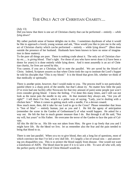# THE ONLY ACT OF CHRISTIAN CHARITY....

#### (July 13)

Did you know that there is one act of Christian charity that can be performed -- entirely -- *while lying down?*

My rather puckish sense of humor delights me in this. I sometimes daydream of what it would be like to approach a lovely young woman and ask, "How would you like to join me in the only act of Christian charity which can be performed -- entirely -- while lying down?" (Best done outside the presence of her husband. Husbands have been known to have no sense of imagination in these matters).

To the pure all things are pure. There is nothing crude about it. The only act of Christian charity etc..... is *giving blood.* That's right. For those of you who have never done it (I have been a donor for years) it is done entirely while lying down. And it most assuredly is an act of Christian charity, for lives are saved by this.

You cannot, if you are a Christian, fail to note the parallel. We are saved by the blood of Christ. Indeed, Scripture assures us that when Christ took the cup to institute the Lord's Supper he told his disciples that "This is my blood." It is the blood that gives life, whether we think of that medically or spiritually.

There is another point, however, that I would make to you. The process itself is not particularly painful (there is a sharp prick of the needle, but that's about it). No matter how little the pain (I've even had one facility offer Novocain for that tiny amount of pain) some people just won't even consider giving blood. I know the feeling. I've done this many times, and I still can not look as the nurse puts the needle in my arm. At that moment they always ask, "Are you all right?" I tell them I'm fine, which is a polite way of saying, "Lady, you're dealing with a chicken here." When it comes to getting stuck with a needle, I'm a devout coward.

How much more, then, did it take for our Lord to go to the Cross? Please remember that Jesus is "Son of Man" -- entirely human, just as you and I. He felt the agony of anticipation (remember the scene in the Garden of Gethsemane?) of what would happen. He asked for a way out. He felt the fear in much greater measure than I do. But through it all He said, "Not my will, but yours" to His Father. He overcame the terror of the Garden to face the pain of Calvary.

All this He did for us. His life was not taken from Him; He gave it up freely that you and I might have life. By the blood we live; let us remember also the fear and the pain needed to bring that blood to us.

There is one last parallel. When you try to give blood, they ask a long list of questions, most of which convince me that I've led a very dull life. It's largely a list of sexual sins -- and answering yes disqualifies you. This is to protect the blood supply from disease. One would not want a transfusion of AIDS. The blood must be pure if it is to save a life. To save all who will, only the perfect purity of the blood of Christ Himself would do.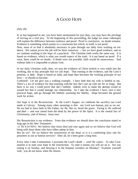# A GOOD HOPE

(July 20)

If, as has happened to me, you have been summonsed for jury duty, you may have the privilege of serving on a trial jury. At the beginning of this proceeding, the judge (or some videotape) will explain the difference between evidence and proof. Proof is conclusive; no doubt remains. Evidence is something which points to a conclusion but which, in itself, is not proof.

Now, most of us find it absolutely necessary to pass through our daily lives working on evidence. We cannot *prove* the job will be there tomorrow -- but we have good evidence, and so we continue working in the *hope* of a paycheck. The Christian faith works the same way. It is based on evidence, which is what you would expect of the truth. It is not based on proof. If it were, there could be no doubt; if doubt were not possible, faith would be unnecessary. And without faith it is impossible to please God.

In our daily Christian walk, then, we turn the evidence of Christ (which is very solid) into the working, day to day principle that we call *hope.* That trusting in the evidence, and the Lord it presents, is faith. Hope is based on faith, and hope then becomes the working principle of our lives -- or should so become.

Confused? Let me give you a walking example. I have faith that my wife is faithful to me. There's a lot of evidence for that (starting with the fact she's put up with me for so long). But there is no way I could prove that she's faithful; indeed, even to make the attempt would so wound her that it would damage our relationship. So I take the evidence I have, turn it into practical hope, and go through life blithely assuming her fidelity. Hope becomes the ground work for action.

Our hope is in the Re surrection. At the Lord's Supper, we celebrate the sacrifice our Lord made at Calvary. Among many other meanings is this: our Lord was human, just as we are. He too had to have faith in His Father, for He, like us, faced the grave. Facing it, He suffered and died -- and was raised from the dead by the power of the Spirit. It is the central fact of Christianity, and of history: Jesus rose.

His Resurrection is our evidence. From that evidence we should draw the conclusion stated so long ago in the New Testament:

 (1 Th 4:14 NIV) We believe that Jesus died and rose again and so we believe that God will bring with Jesus those who have fallen asleep in him.

But do we? Do we believe the resurrection of the dead, or is it a comforting fairy tale for preachers to use at funeral services? After all, he's been gone a long time.

Every time I take Communion, I proclaim the Lord's death -- *until He comes.* To take Communion is to state your hope in the resurrection. To state it means you will act on it. Are you stating it on Sunday, and denying it in the hospital corridors on Monday? Examine yourself well; you do not know when He returns.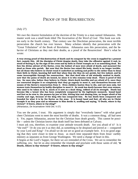#### PROOF OF THE RESURRECTION

(July 27)

We owe the clearest formulation of the doctrine of the Trinity to a man named Athanasius. His master work was a small book titled *The Incarnation of the Word of God.* This book was written early in the fourth century. That century saw the Diocletian persecution, the most terrible persecution the church has ever known. Many scholars identify that persecution with the "Great Tribulation" of the Book of Revelation. Athanasius uses this persecution, and the behavior of Christians as they met their deaths, as a proof of the Resurrection! Here's what he wrote:

**A very strong proof of this destruction of death and its conquest by the cross is supplied by a present fact, namely this. All the disciples of Christ despise death, they take the offensive against it and, instead of fearing it, by the sign of the cross and by faith in Christ trample on it as something dead. Before the divine advent of the Savior, even the holiest of men were afraid of death, and mourned the dead as those who perish. But now that the Savior has raised His body, death is no longer terrible, but all those who believe in Christ tread it underfoot as nothing and prefer to die rather than to deny their faith in Christ, knowing full well that when they die they do not perish, but live indeed, and become incorruptible through the resurrection. But that devil who of old wickedly exulted in death, now that the pains of death are loosed, he alone it is who remains truly dead. There is proof of this too; for men who, before they believe in Christ, think death horrible and are afraid of it, once they are converted despise it so completely that they go eagerly to meet it, and themselves become witnesses of the Savior's resurrection from it. Even children hasten thus to die, and not men only, but women train themselves by bodily discipline to meet it. So weak has death become that even women, who used to be taken in by it, mock at it now as a dead thing, robbed of all its strength. Death has become like a tyrant who has been completely conquered by the legitimate monarch; bound hand and foot as he now is, the passers-by jeer at him, hitting him and abusing him, no longer afraid of his cruelty and rage, because of the king who has conquered him. So has death been conquered and branded for what it is by the Savior on the cross. It is bound hand and foot, all who are in Christ trample it as they pass and as witnesses to Him deride it, scoffing and saying, "O Death, where is thy victory? O Grave, where is thy sting?"**

(Athanasius, *De Incarnatione Verbi Dei*, V-27)

You see the point, I trust. His argument is simply that "everybody knows" with what good cheer Christians went to meet the most horrible of deaths. It was a common thing; all had seen it. Yet, argues Athanasius, anyone but the Christian fears death greatly. This cannot be possible -- unless the Christian knows that death itself has been defeated at Calvary.

I must ask you, therefore, to examine your attitude towards death. Are you afraid of it? Is it "the end?" Or do you see it as they did, as something to be despised and jeered at -- conquered by your Lord and King? I'm afraid we do not set so good an example here. It is no good arguing that they were closer in time to Jesus; as much time separated them from Jesus' earthly ministry as separates us from George Washington. We need a change of heart in this.

It begins at the Lord's Supper, for there we are reminded of the Cross. We are to remember the suffering, yes; but let us also remember the triumph and proclaim with those saints of old, **"O Death, where is thy victory? O Grave, where is thy sting?"**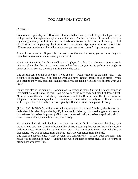#### YOU ARE WHAT YOU EAT

#### (August 3)

Somewhere -- probably in II Hezekiah, I haven't had a chance to look it up -- God gives every college student the right to complain about the food. As the fortunes of life would have it, in my undergraduate years I did mt have the funds to move out of the dorm, so I had a great deal of experience in complaining about dorm food. A common sign in our dorm rooms was this: "Choose your meals carefully in the cafeteria -- you are what you eat." It gives one pause.

It is still true, however. If your diet consists of cookies and ice cream, you will soon begin to resemble an ice cream sundae -- every mound of it.

It is true in the spiritual realm as well as in the physical realm. If you're one of those people who complains that there is too much sex and violence on your VCR, perhaps you ought to check out what you are checking out from the video store.

The positive sense of this is also true. If you take in -- would "devour" be the right word? -- the Scripture, it changes you. You become what you have "eaten," greatly to your profit. When you listen to the Word, preached, taught or read, you are taking it in, and you become what you "eat."

This is true also in Communion. Communion is a symbolic meal. One of the (many) symbolic interpretations of this meal is this: You are "eating" the very body and blood of Jesus Christ. Now, we know that our Lord's body was like ours, until the Resurrection. He ate, he drank, he felt pain -- He was a man just like us. But after the resurrection, his body was different. It was still recognizable as his body, but it was greatly different in kind. Paul puts it this way:

(1 Cor 15:42-44 NIV) So will it be with the resurrection of the dead. The body that is sown is perishable, it is raised imperishable; *{43}* it is sown in dishonor, it is raised in glory; it is sown in weakness, it is raised in power; *{44}* it is sown a natural body, it is raised a spiritual body. If there is a natural body, there is also a spiritual body.

By taking in the body and blood of Christ you are -- symbolically -- becoming like him; you are what you eat. You therefore become like Christ, presuming that you partake with sincerity and repentance. Since you have taken in his body -- his nature, as it were -- you will share in that nature. We will be raised from the dead just as He was raised from the dead.

The meal is a spiritual one. It must be taken in a spiritual way -- in love, truth and light. The result will be spiritual for now -- until the day when the faith becomes sight, and He returns to claim those who love Him.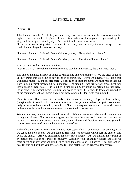# LATIMER, LATIMER

(August 10)

John Latimer was the Archbishop of Canterbury. As such, in his time, he was viewed as the highest church official of England. It was a time when Archbishops were appointed by the king, and the king expected loyalty. The conflict in the mind was intense. On one occasion the king, visited Latimer at Canterbury, and evidently it was an unexpected arrival. Latimer began his sermon this way:

"Latimer! Latimer! Latimer! Be careful what you say. Henry the king is here."

"Latimer! Latimer! Latimer! Be careful what you say. The king of kings is here."

Is it so? Our Lord assures us of the fact:

(Mat 18:20 NIV) For where two or three come together in my name, there am I with them."

It is one of the most difficult of things to realize, and one of the simplest. We are often so taken up in worship that we begin to pay attention to ourselves. Aren't we singing well? Isn't that wonderful music? Right on, preacher! Yet for each of these moments we must realize that our Lord is in our midst, unseen but not unnoticed. The singing is not just for our amusement, nor just to make a joyful noise. It is to put us in tune with him, by praise, by petition, by thanksgiving in song. The special music is to turn our hearts to him; the sermon to teach and remind us of his commands. All our music and all our words should be done with this in mind.

There is more. His presence in our midst is the source of our unity. A person has one body (imagine what it would be like to have a selection!); that person also has one spirit. We are one body because we have one spirit, the spirit of God. In a very real sense which the world cannot understand -- because it cannot understand or know God -- we are one.

We are one here; we are one around the world. We are one around the world; we are one throughout all ages. Not because we agree; not because there are no factions; not because we are wise -- we are one because He is one (though three) and therefore we are one (though many). We are formed into one body in imitation of Him.

It therefore is important for us to realize this most especially at Communion. We are one; now we eat at the table as one. Do you come to His table with thoughts which hurt the unity of His body, the church? Are you simmering the stew called anger? Are you chilling the warmth of friendship and love in the arctic of jealousy? Consider well: examine yourself, and ask: "Is there anything in my heart and mind which hurts the oneness of His body?" If so, ask forgiveness (of him and of those you have offended) -- and partake of His generous forgiveness.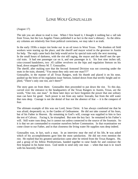# LONE WOLF GONZUALLES

#### (August 17)

The tale you are about to read is true. When I first heard it, I thought it nothing but a tall tale from Texas, but the Los Angeles Times published it as fact in the man's obituary. As the obituary columns are relatively free from political correctness, we may take it as truth.

In the early 1930s a major riot broke out in an oil town in West Texas. The drunken oil field workers were tearing up the place, and the sheriff and mayor wired to the governor in Austin for help. The reply came back that help would arrive by special train early the next morning. In the small hours of darkness, with the riot still raging, the mayor and the sheriff met the special train. It had one passenger car on it, and one passenger in it. Six foot nine inches tall, criss-crossed bandoleers, two .45 caliber revolvers on the hips and regulation Stetson on his head, down stepped Henry M. T. Gonzualles.

The sheriff, after making sure that the Second Armored Division was not cowering under the seats in the train, shouted, "You mean they only sent one man???"

Gonzualles, in the manner of all Texas Rangers, took his thumb and placed it on his nose, pushed up the brim of his regulation issue Stetson, looked down from that terrific height and replied, "There's only one riot, ain't there?"

The story goes on from there. Gonzualles then proceeded to put down the riot. To this day, carved over the entrance to the headquarters of the Texas Rangers in Austin, Texas, are the words, "One riot, one man." In these later days we have forgotten the power that one solitary man can have for good. Such power is not from any native bravado, but from the still water that runs deep. Courage is not the denial of fear nor the absence of fear -- it is the conquest of fear.

The ultimate example of this was our Lord, Jesus Christ. It has always comforted me that he was afraid, desperately so, in the Garden of Gethsamene. He did not take counsel of his fears, but of his Father in Heaven. By remaining in God's will, courage was supplied to him to face the test of Calvary. Facing it, he triumphed. But note the key fact: he remained in his Father's will. Still water runs deep, but it cannot run unless connected to the source of the fountain. So it is that we are commanded to examine ourselves before Communion. In that examination we come closer to our Father, and in that closeness the living water He supplies runs deep indeed.

Gonzualles was, in fact, such a man. In an interview near the end of his life, he was asked which of his accomplishments gave him the most satisfaction. He did not even mention the riot. He replied that his greatest satisfaction came after he retired from the Texas Rangers. He, and a group of his fellow Presbyterians, banded together to raise funds for and construct the first hospital in his home town. God needs to send only one man -- when that man is in touch with his heavenly Father.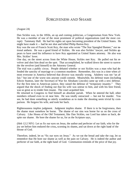#### FORGIVENESS AND SHAME

#### (August 24)

Dan Sickles was, in the 1850s, an up and coming politician, a Congressman from New York. He was a member of one of the most prominent of political organizations (and the most corrupt): Tammany Hall. He had his sights set upon becoming president of the United States. He might have made it -- had he not shot and killed Philip Barton Key.

Key was the son of Francis Scott Key, the man who wrote "The Star Spangled Banner," our national anthem. He was a good friend of Sickles. He was also Sickles' lawyer, and Sickles appears to have used his influence to have Key appointed as United States attorney. He also was Mrs. Sickles' lover.

One day, on the street across from the White House, Sickles met Key. He pulled out his revolver and shot him dead on the spot. That accomplished, he walked down the street to surrender the revolver (and himself) to the Attorney General.

The trial was a public circus. People debated whether or not Sickles was a man who had defended the sanctity of marriage or a common murderer. Remember, this was in a time when almost everyone in America believed that divorce was morally wrong. Adultery was not "an affair," but one of the worst sins anyone could commit. Meanwhile, his defense team (including Edwin Stanton, later the Secretary of War for Abraham Lincoln) came up with a new defense. For the first time in American justice, they raised the defense of "temporary insanity." They argued that the shock of finding out that his wife was untrue to him, and with his best friend, was so great as to render him insane. The court acquitted him.

He returned to Congress to find himself an absolute pariah. When he entered the hall, other members refused even to sit near him. He was totally ostracized -- but not for murder. You see, he had done something so utterly scandalous as to make the shooting seem trivial by comparison. He forgave his wife, and took her back.

Righteousness implies judgment. Judgment implies shame. If there is to be forgiveness, then the shame must somehow be borne. The shame of our sins was borne for us on the cross of Calvary. Like Hosea of the Old Testament, like Dan Sickles, our Lord has taken us back, despite our shame. He bore the shame for us, for as the Scripture says,

(Heb 12:2 NIV) Let us fix our eyes on Jesus, the author and perfecter of our faith, who for the joy set before him endured the cross**,** scorning its shame**,** and sat down at the right hand of the throne of God.

Therefore, indeed, let us "fix our eyes on Jesus." As we eat the bread and take the cup, let us remember that He bore our shame as well as the pain on Calvary. He is indeed the author and perfecter of our faith, at the right hand of God. Communion reminds of the price of that joy.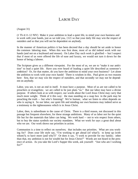# LABOR DAY

(August 31)

(1 Th 4:11-12 NIV) Make it your ambition to lead a quiet life, to mind your own business and to work with your hands, just as we told you, {12} so that your daily life may win the respect of outsiders and so that you will not be dependent on anybody.

In the manner of American politics it has been decreed that a day should be set aside to honor the common laboring man. When this was first done, most of us did indeed work with our hands (and not on a keyboard and mouse). On Labor Day such work is glorified -- but I suspect that if most of us were offered the life of ease and luxury, we would not turn it down for the honor of being a laborer.

The Scripture gives us a different viewpoint. For the most of us, we are to "make it our ambition" to lead a quiet life. Have you ever heard of leading a quiet life described as someone's ambition? Or, for that matter, do you have the ambition to mind your own business? Let alone the ambition to work with your own hands! There is wisdom in this. Paul gives us two reasons here: first, that we may win the respect of outsiders, and that secondly we may not be dependent on anybody.

Labor, you see, is not an end in itself. It must have a purpose. Most of us are not called to be preachers or evangelists; we are called to be just plain "us." But our labor may have a divine purpose. If others look at us with respect, our words about the Lord Jesus Christ may carry that much more weight. Think of it this way: the man standing on a soap box in the park may be preaching the truth -- but who's listening? We're human; what we listen to often depends on who is saying it. So our labor, our quiet life and minding our own business may indeed serve as a testimony to the righteousness which is in Jesus Christ.

Labor, then, is subordinate to the cause of Christ. There is a third reason, not discussed in this passage but frequent elsewhere, for these strange ambitions. Many of us labor not for the quiet life but for the materials that labor can bring. We work hard -- not to win respect from others, but to buy the status symbols our society mandates. What we work for says a great deal about who we are. Our work shows our priorities in action.

Communion is a time to reflect on ourselves; that includes our priorities. What are you working for? Does your life style say, "I'm working to get ahead (of what?); to keep up (with whom?); to have more (and why?)" Or does it say, "I work to provide for my family; other than that, my ambition is not for wealth but for Jesus Christ?" Words are not heard in the presence of action. As you take the Lord's Supper this week, ask yourself: "Just who am I working for?"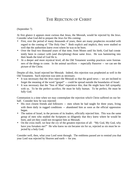# THE REJECTION OF CHRIST

#### (September 7)

At first glance it appears most curious that Jesus, the Messiah, would be rejected by the Jews. Consider what God did to prepare the Jews for His coming:

- First, over the period of many thousands of years, there are many prophecies recorded with regard to the coming of "The Holy One." Both explicit and implicit, they were studied so well that the authorities knew even where he was to be born.
- Over the final two thousand years of that time, from Moses until his birth, God had consistently been in contact with (and disciplining) those same Jews. He was hammering into their heads the kind of God He is.
- At a deeper and more mystical level, all the Old Testament worship practices were forerunners of the things to come. In the animal sacrifices -- especially Passover -- we can see the picture of the Christ.

Despite all this, Israel rejected her Messiah. Indeed, this rejection was prophesied as well in the Old Testament. Such rejection was seen as necessary.

- It was necessary that the Jews reject the Messiah so that the good news -- we are inclined to forget the meaning of the word "gospel" -- could be spread outside the boundaries of Israel.
- It was necessary that the "Son of Man" experience this, that He might have full sympathy with us. To be the perfect sacrifice, He must be fully human. To be perfect, He must be fully God.

Communion is a time when we may contemplate the rejection which Christ suffered on our behalf. Consider how he was rejected:

- His own closest friends and followers -- men whom he had taught for three years, living with them daily in rugged conditions -- abandoned him as soon as the official oppression began.
- The nation of Israel, in the persons of its leaders, officially rejected him. This was the same group of men who studied the Scriptures so diligently that they knew where he would be born, and yet they could not recognize him as Messiah.
- On the cross itself, we hear the cry of the greatest rejection of all: "My God, My God, why have you forsaken me?" He who knew no sin became sin for us, rejected as sin must be rejected by a holy God.

Consider well, then, what your Lord went through. The emblems passed are to remind you that your Lord was rejected by Heaven and earth -- for you.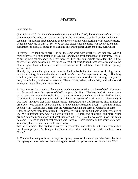# MYSTERY!

September 14

(Eph 1:7-10 NIV) In him we have redemption through his blood, the forgiveness of sins, in accordance with the riches of God's grace {8} that he lavished on us with all wisdom and understanding. {9} And he made known to us the mystery of his will according to his good pleasure, which he purposed in Christ,  $\{10\}$  to be put into effect when the times will have reached their fulfillment--to bring all things in heaven and on earth together under one head, even Christ.

"Mystery" -- as Paul has it here -- is not the same word with which we are familiar. When I think of mystery, I think instantly of Agatha Christie, the great bamboozler of our time. I speak as one of the great bamboozled. I have never yet been able to penetrate "who done it?" I think of myself as being reasonably intelligent, so it's frustrating to read these mysteries and not be able to figure them out before the detective announces the solution. How do these mystery writers do it?

Dorothy Sayers, another great mystery writer (and probably the finest writer of theology in the twentieth century) has revealed the secret of how it's done. She explains it this way: "If a thing could only be done one way, and if only one person could have done it that way, then you've got your criminal, motive or no motive. There's How, When, Where, Why and Who -- and when you've got How, you've got Who."

In this series on Communion, I have given much attention to Why: the love of God. Communion also reveals to us the mystery of God's purpose: the How. The How is Christ, the mystery of the ages. Mystery in the Biblical use of the word means something which was hidden, but is to be revealed at the proper time. Christ is the great mystery of God. From the beginning, it was God's intention that Christ should come. Throughout the Old Testament, first in hints of prophecy -- one thinks of Job crying out, "I know that my Redeemer lives!" -- and then in more explicit terms, God makes it clear that the Messiah (which is the same as Christ) is to come.

Then, at the right time, Jesus arrived. The mystery was, as far as God was willing, revealed to us. We understand now what God was driving at. He spent two thousand (and more) years drilling into one people group just what kind of God He is -- so that we could know Him when he came. The great point of that coming was Calvary. God's purpose in this visit was to provide a way back to him -- and that way is Jesus.

But there is more. The mystery is not yet fully revealed, nor will it be until He accomplishes his ultimate purpose: "to bring all things in heaven and on earth together under one head, even Christ."

In Communion, we proclaim not only the mystery revealed, his coming to the Cross, but also the mystery to be revealed -- his coming again. We do not yet know all -- but we know Who.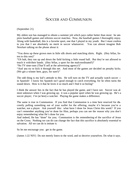#### SOCCER AND COMMUNION

(September 21)

My oldest son has managed to obtain a summer job which pays rather better than most: he umpires baseball games and referees soccer matches. Now, the baseball games I thoroughly enjoy. Along with basketball, this is a favorite sport, one that I played in my youth. But I must confess to you that I see absolutely no merit in soccer whatsoever. You can almost imagine Bob Newhart talking on the phone about it:

"You dress up these grown men in little silk shorts and matching shirts. Right. (Hey fellas, listen to this one)"

"Uh huh, they run up and down the field kicking a little round ball. But they're not allowed to touch it with their hands. (Hey fellas, a sport for the malcoordinated!)"

"No TV time-outs (That'll sell at the advertising agency!)"

"And you try to kick it through this net. And most of the games are decided on penalty kicks. (We got a winner here, guys, for sure!)"

The odd thing is my kid's attitude to this. He will turn on the TV and actually watch soccer - in Spanish! I know his Spanish isn't good enough to catch everything, for he often turns the sound down. How is it that he loves it so much and I find it so boring?

I think the answer lies in the fact that he has played the game, and I have not. Soccer was almost unknown when I was growing up; it was a popular sport when he was growing up. He's a soccer player; I'm (at best) a watcher. Playing the game makes a difference.

The same is true in Communion. If you find that Communion is a time best reserved for discreetly pulling something out of your wallet for the offering, maybe it's because you're a watcher, not a player. Ask yourself this: what have I done for Jesus Christ this week? If you can't remember anything you've done for Him, perhaps you can see the reason why you don't enjoy remembering what He's done for you.

And indeed, He has "done" for you; Communion is the remembering of the sacrifice of Jesus on the Cross. Nothing we can do can change the fact that this sacrifice is absolutely essential to salvation. All we can do is imitate it.

So let me encourage you: get in the game.

(James 1:22 NIV) Do not merely listen to the word, and so deceive yourselves. Do what it says.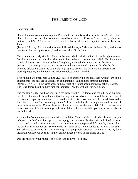### THE FRIEND OF GOD

(September 28)

One of the most common concepts in Protestant Christianity is Martin Luther's *sola fide* -- faith alone. It is the doctrine that we are not saved by what we do ("works") but rather by whom we believe ("faith"). A "proof text" often used to bolster this view is quoted from the Letter of James:

(James 2:23 NIV) And the scripture was fulfilled that says, "Abraham believed God, and it was credited to him as righteousness," and he was called God's friend.

The argument is fairly simple: Abraham believed God; God credited him with righteousness. So often we then conclude that what we *do* has nothing to do with our belief. But back up a couple of verses. What was Abraham doing here, about which James said he "believed?" (James 2:21-22 NIV) Was not our ancestor Abraham considered righteous for what he did when he offered his son Isaac on the altar?  $\{22\}$  You see that his faith and his actions were working together, and his faith was made complete by what he did.

Even though we often hear James 2:23 quoted as supporting the idea that "works" are of no consequence, the passage is actually an explanation of James more famous quotation: (James 2:17 NIV) In the same way, faith by itself, if it is not accompanied by action, is dead. The King James has it in more familiar language: "Faith, without works, is dead."

The sad thing is that we have redefined the word "faith." To James and the others of his time, the idea that you could have faith without acting on it was absurd -- as indeed this is the point of the second chapter of his letter. He considered it foolish. We, on the other hand, have redefined faith to mean "intellectual agreement." I have faith that the earth goes around the sun. I have faith in my wife. One of those two I act on -- and so the word "faith" in those two sentences has two different meanings. Christian faith is the kind of faith you act on -- or it is not the faith at all.

As you take Communion, you are stating your faith. You proclaim to all who observe that you believe. The loaf and the cup, you are saying, are symbolically the body and blood of Jesus Christ, broken and shed for our sins. In a communication too powerful for words, you proclaim his death as sacrifice for us. Before we do this, each of us is commanded to "examine himself." So I ask you to examine this: am I making an empty proclamation at Communion? Is my faith lacking in works? Or does my faith overflow in good works to the praise of God?

Use the mirror of your mind; see if your faith is alive -- or dead.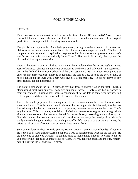# WHO IS THIS MAN?

#### (October 5)

There is a wonderful old movie which surfaces this time of year, *Miracle on 34th Street.* If you can, watch the old version; the new ones lack the sense of wonder and innocence of the original production. It is important, for the story contains a truth.

The plot is relatively simple. An elderly gentleman, through a series of comic circumstances, claims to be the one and only Santa Claus. He is locked up as a suspected lunatic. The hero of the picture, with romantic complications, represents him in court -- and proves to the court's satisfaction that he is "the one and only Santa Claus." The case is dismissed; the boy gets the girl, and all live happily ever after.

There is, however, a point in all this. If I claim to be Napoleon, then the lunatic asylum awaits. Jesus of Nazareth claimed on numerous occasions to be the one and only God -- the representation in the flesh of the awesome Jehovah of the Old Testament.. As C. S. Lewis once put it, that gives us only three options: either he is genuinely the son of God, or he is the devil of hell, or he is a lunatic on the level with a man who says he's a poached egg. He did not leave us any other choice. He did not intend to.

The point is important for this. Christians say that Jesus is indeed God in the flesh. Such a claim would meet with approval from any number of people if only Jesus had performed to their expectations. It would have been so convenient if he had left us some wise sayings, told us to be good, and then politely ascended to heaven. He did not.

Indeed, the whole purpose of his coming seems to have been to die on the cross. He came to be a ransom for us. That he left us much wisdom, that he taught his disciples well, that he performed many miracles, all these are true. His purpose, however, was to die on the cross. That's why he came. This is, to some, scandalous. A God who comes to us to give us a little good advice and then assure us that we're all bound for heaven is very reassuring and comforting. A God who tells us that we are sinners -- and then dies to take away the penalty of our sin -- is vastly more challenging. Indeed, the whole point of his life seems to be that we are sinners; he offers us salvation -- if we will cast our entire lives into his hands.

So it comes down to this: Who do you say He is? Devil? Lunatic? Son of God?? If you say He is the Son of God, then the Lord's Supper is a way of remembering what He did for you. He did not come to give you wisdom; he did not come to make things smooth; he came to die for you and for me. He calls us then to live for Him. As you take the bread and the cup, remember: this is who He is, and why He came.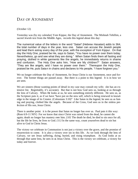### DAY OF ATONEMENT

#### (October 12)

Yesterday was (by my calendar) Yom Kippur, the Day of Atonement. The Mishnah Tehillim, a sacred Jewish text from the Middle Ages, records this legend about this day:

The numerical value of the letters in the word "Satan" {Hebrew *Hasatan*} adds to 364, the total number of days in the year, less one. Satan can accuse the Jewish people and lead them astray every day of the year, with the exception of Yom Kippur. On that day the Holy One, praised be He, says to Satan, "You have no power over them today. Nevertheless, go and see what they are doing." When Satan finds them all fasting and praying, dothed in white garments like the angels, he immediately returns in shame and confusion. The Holy One asks him, "How are My children?" Satan answers, "They are like angels, and I have no power over them." Thereupon the Holy One, praised be He, puts Satan in chains and declares to His people, "I have forgiven you."

We no longer celebrate the Day of Atonement, for Jesus Christ is our Atonement, once and forever. The former things are passed away. But there is a point to this legend. It is in how we are seen.

We are sinners (those wanting points of detail in my case may consult my wife; she has an extensive list. Regrettably, it's accurate). But that is not how God sees us, looking at us through the lens of Calvary. When He looks at us, he sees something entirely different. He sees us, as the Scripture puts it, as if we have "have put on the new self, which is being renewed in knowledge in the image of its Creator. (Colossians 3:10)" Like Satan in the legend, he sees us as fasting and praying, clothed like the angels. Because of the Cross, God sees us in the sinless perfection of His son, Jesus Christ.

There is another point: it is the power that Satan no longer has over us. Paul puts it this way: (Rom 6:9-11 NIV) For we know that since Christ was raised from the dead, he cannot die again; death no longer has mastery over him. *{10}* The death he died, he died to sin once for all; but the life he lives, he lives to God. *{11}* In the same way, count yourselves dead to sin but alive to God in Christ Jesus.

The victory we celebrate in Communion is not just a victory over the grave, and the promise of resurrection to come. It is also a victory over sin in this life. As we look through the lens of Calvary, we see Jesus suffering, dying, buried, and rising triumphant. As God looks at us through that same lens, he sees in us Jesus Christ. This is the victory we celebrate, a victory for today and forever.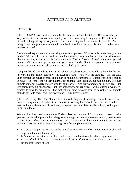### ATTITUDE AND ALTITUDE

(October 19)

(Phil 2:5-8 NIV) Your attitude should be the same as that of Christ Jesus: {6} Who, being in very nature God, did not consider equality with God something to be grasped, {7} but made himself nothing, taking the very nature of a servant, being made in human likeness. {8} And being found in appearance as a man, he humbled himself and became obedient to death-- even death on a cross!

Motivational experts are currently using a new buzz phrase: "Your attitude determines your altitude." We are told that we need to have that sneering arrogance that just brushes aside obstacles on our way to success. As Lucy once told Charlie Brown, "I don't want any ups and downs. All I want are ups and ups and ups!" From "trash talking" in sports to "in your face" business attitudes, we are told that arrogance is the key to success.

Compare that, if you will, to the attitude shown by Christ Jesus. Paul tells us here that he was "in very nature" (philosophically, "in essence") God. What was his attitude? That he took upon himself the nature of man, and a man of humble circumstances. Consider then, the change in Jesus: He went from "in very nature God" to man. Not just man, but humble man. Not just humble man, but poverty pressed wandering preacher. Not just wanderer, but persecuted. Not just persecuted, but abandoned. Not just abandoned, but crucified. At this example we are instructed to consider his attitude. The motivational experts would seem to be right. That humble attitude, it would seem, cost him everything -- until Easter Sunday.

(Phil 2:9-11 NIV) Therefore God exalted him to the highest place and gave him the name that is above every name, {10} that at the name of Jesus every knee should bow, in heaven and on earth and under the earth, {11} and every tongue confess that Jesus Christ is Lord, to the glory of God the Father.

We are often instructed to remember Christ's death at the time of Communion. I would invite you to consider what preceded it: the greatest change in circumstance ever known, from heaven to earth itself. The change was voluntary; we are instructed to have the same attitude. As we examine ourselves at this time, may I suggest a few simple questions?

- Are we too important to take on the menial tasks in the church? (Have you ever changed diapers in the church nursery?)
- Is "status" so important in our lives that we sacrifice the eternal to achieve appearances?
- Are we afraid of the embarrassment we would suffer if we forced ourselves to speak to others about the grace of God?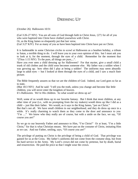# DRESSING UP

(October 26) Halloween 10/31

(Gal 3:26-27 NIV) You are all sons of God through faith in Christ Jesus, {27} for all of you who were baptized into Christ have clothed yourselves with Christ. Or, as the King James so eloquently put that last verse,

(Gal 3:27 KJV) For as many of you as have been baptized into Christ have put on Christ.

It is fashionable in some Christian circles to scowl at Halloween as a heathen holiday, a tribute to Satan, a terrible thing to do. I will leave you to your own opinion of this; but I must ask you to look at it, for the moment, through the eyes of a child. Remember for the moment that "(Titus 1:15 NIV) To the pure, all things are pure,...".

Have you ever seen a child dressing up for Halloween? For that ma tter, give a small child a trunk of old clothes and the child soon becomes someone else. My father was a soldier when I was growing up; how often did I play at being a soldier! The uniforms may seem absurdly large to adult eyes -- but I looked at them through the eyes of a child, and I saw a much finer picture.

The Bible frequently assures us that we are the children of God. Indeed, our Lord goes so far as to state,

(Mat 18:3 NIV) And he said: "I tell you the truth, unless you change and become like little children, you will never enter the kingdom of heaven.

It's Halloween. We're His children. So what would we dress up as?

Well, some of us would dress up in our favorite fantasy. But I think that most children, at any other time of year (i.e., with no prompting from the toy makers) would dress up like I did as a child -- just like their father. We would, as it says in the King James, "put on Christ."

But that's not all. We have small children in our neighborhood, and they do dress up once in a while. It's really charming to watch them as they come to the door and announce to you "I'm ...." We know who they really are of course, but with a smile on the face, we say, "Of course you are!"

So we go to our heavenly Father and announce to Him, "I'm Christ!" Or at least, "I'm a little Christ," for that is what Christian means. We have put on the costume of Christ, imitating Him as we can. And our Father, smiling, says, "Of course you are!"

The privilege of putting on Christ is the privilege of being a child of God. That privilege was gained for us at the Cross. My father's uniforms did not come from the costume shop, but from his hard service in the Army. My Lord's crown did not come by pretense, but by death, burial and resurrection. He paid the price so that I might wear the crown.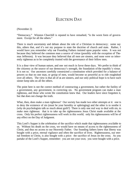# ELECTION DAY

(November 2)

"Democracy," Winston Churchill is reputed to have remarked, "is the worst form of government. Except for all the others."

There is much uncertainty and debate about the role of a Christian in democracy; some say this, others that, and it's not my purpose to state the doctrine of church and state. Rather, I would have you remember why our Founding Fathers insisted upon popular votes. It was not because they believed the common man a source of virtue (possibly with the exception of Thomas Jefferson). It was because they believed that all men are sinners, and none were so inherently righteous as to be completely trusted with the governance of their fellow men.

It is a dour view of human nature, and one not much in favor these days. We prefer to think of the citizenry as the source of our democracy's strength, the foundation of the republic's virtue. It is not so. Our ancestors carefully constructed a constitution which provided for a balance of powers so that no one man, or group of men, would become so powerful as to ride roughshod over all others. The view is that all of us are sinners, and our only political hope is to have each sinner keep tabs on all the others.

The point here is not the correct method of constructing a government, but rather the futility of a government, any government, in correcting sin. No government program can make a man righteous, and those who wrote the constitution knew that. Our leaders have since forgotten it, but that does not change the truth.

What, then, does make a man righteous? Our society has made two other attempts at it: one is to deny the existence of sin (must be your heredity or upbringing) and the other is to soothe it (why do psychologists talk so much about guilt?) There is only one real way to deal with sin, to make men righteous: that is to take up the righteousness Jesus Christ made available at the cross. Only his perfect righteousness will work in this world; only his righteousness will be of any effect on the Day of Judgment.

This Lord's Supper is the celebration of the sacrifice which made that righteousness ava ilable to us. Without his death on the cross, we would have no means of access to the righteousness of Christ, and thus no access to our Heavenly Father. Our founding fathers knew that liberty was bought with a price, eternal vigilance and often the sacrifice of lives. Righteousness, our eternal freedom in Christ, is also bought with a price: the sacrifice of Jesus on the cross. As you partake of the Lord's Supper, remember: you are not your own; you were bought with a price.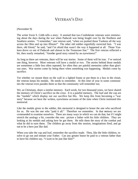# VETERAN'S DAY

(November 9)

The writer Irwin S. Cobb tells a story: It seemed that two Confederate veterans were reminiscing about the days during the war when Paducah was being fought over by the Northern and Southern armies. "I remember," one veteran said, "when we pushed those Yankees all the way across the Ohio and up into Illinois!" The other old soldier regretfully corrected him. "I was there, old friend," he said, "and I'm afraid that wasn't the way it happened at all. Those Yankees drove *us* out of Paducah and almost to the Tennessee line." The first veteran reflected a bit, then sourly remarked, "Another good story ruined by an eyewitness!"

As long as there are veterans, there will be war stories. Some of them will be true. I've noticed one thing, however. Most veterans will have a medal or two. The stories behind those medals are sometimes a little less often repeated, for often they are painful memories rather than glorious ones. War stories come by being there when something was happening. Medals come by sacrifice.

Yet whether we mount them on the wall in a lighted frame or put them in a box in the closet, the veteran keeps his medals. He needs to remember. At this time of year in some communities the veteran even parades them so that the community will remember too.

We, as Christians, share a similar memory. Each week, for two thousand years, we have shared the memory of Christ's sacrifice on the cross. It is a painful memory. The loaf and the cup are the "medals" which display not our sacrifice but His. We keep this from becoming a "war story" because we have the written, eyewitness accounts of the time when Christ instituted this memorial.

Like the medals given to the soldier, this memorial is designed to honor the one who sacrificed for us. He was the one who "paid it all." Therefore we remember. In that memory we are commanded to examine ourselves. There are many ways in which we can do that, but if I might stretch the analogy a bit, consider this one: picture a father with his little children. They are looking at his medals and asking how he got them. He tells them the story of the combat and what he did to earn them. The children go away from this session, imaginations fired, and go out to be a hero just like dad.

When you take the cup and loaf, remember the sacrifice made. Then, like the little children, resolve to go out and imitate your Father. Can any greater honor be paid to a veteran father than to have his children say, "I want to be just like him?"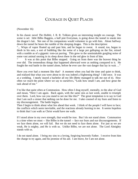### COURAGE IN QUIET PLACES

(November 16)

In his classic novel *The Hobbit,* J. R. R. Tolkien gives an interesting insight on courage. The scene is set: little Bilbo Baggins, a half pint Everyman, is going down the tunnel to sneak into the dragon's lair. Not one of his companions would volunteer to go with him. About halfway down the tunnel he hears the rumble of the sleeping dragon. This is the description:

"... Wisps of vapor floated up and past him, and he began to sweat. A sound, too, began to throb in his ears, a sort of bubbling like the noise of a large pot galloping on the fire, mixed with a rumble as of a gigantic tom-cat purring. This grew to the unmistakable gurgling noise of some vast animal snoring in its sleep down there in the red glow in front of him.<br>"It was at this point that Bilbo stopped. Going on from there was the h

It was at this point that Bilbo stopped. Going on from there was the bravest thing he ever did. The tremendous things that happened afterward were as nothing compared to it. He fought the real battle in the tunnel alone, before he ever saw the vast danger that lay in wait. ..."

Have you ever had a moment like that? A moment when you had the time and quiet to think, and realized that what you were about to do was indeed a frightening thing? I did once. It was at a wedding. I nearly stayed a bachelor all my life (Betty managed to talk me out of it). How often we reach the point where we say to ourselve s, "Look how small I am, and how great the task ahead of me."

I'm like that quite often at Communion. How often I drag myself, mentally, to the altar of God and moan, "Here I am again. Back again, with the same sins as last week, unable to triumph over them. Lord, how can you stand to see me like this?" The great temptation is to say to God that I am such a sinner that nothing can be done for me. I take counsel of my fears and listen to my discouragement. The battle begins.

Then I begin to think about what lies ahead that week. I think of the people I will have to face; the conflicts which seem inevitable, and the reactions already burning in me. It seems hopeless to think that I can walk as Christ would have me walk.

If I stood alone in my own strength, that would be true. But I do not stand alone. Communion is a time when we must -- like Bilbo in the tunnel -- face our fears and our discouragements. If we face them alone, we will fail. But we do not need to face them alone. For just as we are weak, He is mighty, and He is with us. Unlike Bilbo, we are not alone. The Lord Almighty stands with us.

I do not stand alone. I bring my sins to a loving, forgiving heavenly Father. I receive from him the charge to try again, and his promise of his aid. I am brave, for I am not alone.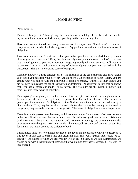#### THANKSGIVING

(November 23)

This week brings us to Thanksgiving, the truly American holiday. It has been defined as the day on which one species of turkey stops gobbling so that another may start.

Have you ever considered how many ways we use the expression, "Thank you?" There are many more, but consider this little progression. Pay particular attention to the idea of a sense of obligation.

First, we use it as a social lubricant. When you make a purchase, and the clerk hands you your change, you say "thank you." Now, the clerk actually owes you the money; both of you expect that she will give it to you, and in fact you are getting exactly what you deserve. Still, you say "thank you." It is a social courtesy, a way of acknowledging that you are satisfied with the transaction. There is, however, no sense of obligation.

Consider, however, a little different case. The salesman at the car dealership also says "thank you" when you purchase your new car. Again, there is an exchange of value; again, you are getting what you paid for and the dealership is getting its money. But the salesman knows you did not have to purchase the car at that particular dealership. "Thank you" means that he knows that; you had a choice and made it in his favor. The two sides are still equal, in money, but there is a little more sense of obligation.

Thanksgiving, as originally celebrated, extends this concept. God is under no obligation to the farmer to provide rain at the right time; to protect from hail and the elements. The farmer depends upon the elements. The Pilgrims felt that God had done them a favor; he had been gracious to them. True, they had worked the soil, planted the crops -- but having put the seed in the ground, they depended on God for the growth. The sense of obligation is much deeper now

There is a much greater case, however, which we celebrate at Communion. God was not only under no obligation to send his son to the cross, He had every good reason not to. We were (and are) sinners; he is a just and righteous God. He owes us nothing; we borrow the very idea of existence from the great I AM. Yet, while still sinners, Christ came and became our sacrifice for sin, that we might become the children of God.

Thankfulness varie s by two things: the size of the favor and the extent to which we deserved it. The favor in this case is eternal life and cleansing from sin; what greater favor could be bestowed? The extent to which we deserved it? Not at all. So then, as we take Communion, we should do so with a thankful spirit, knowing that we did not get what we deserved -- we got His love instead.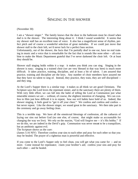#### SINGING IN THE SHOWER

(November 30)

I am a "shower singer." The family knows that the door to the bathroom must be closed when dad is in the shower. The interesting thing about it: I think I sound wonderful. It seems that my shower stall has an excellent tone of voice. It also has a magnificent sense of rhythm, perfect pitch and of course a wonderful selection of great melodies. If we could just move that shower stall to the choir loft, we'd never lack for a perfect bass section.

Unfortunately, out of the shower, the facts that I'm partially deaf in one ear, have no real training in music and a voice that is remarkable for the fact that is sounds like none other -- all combine to make the Music Department grateful that I've never darkened the choir loft. Or at least they should be.

Shower stall singing holds within it a trap: it makes you think you can sing. Singing in the shower is easy; singing in a trained choir (we are very blessed in that way here) is much more difficult. It takes practice, training, discipline, and at least a bit of talent. I am assured that practice, training and discipline are the keys. Any number of choir members have assured me that they have no talent to sing of. Instead, they practice, they train, they are self disciplined - and they sing.

At the Lord's Supper there is a similar trap:  $\dot{\mathbf{t}}$  makes us all think we are good Christians. The Scripture says the Lord loves the repentant sinner, and in the sanctuary there are plenty of them. With very little effort, we can fall into the habit of telling the Lord at Communion just what miserable sinners we are -- without, of course, the slightest intention of changing. We can confess to Him just how difficult it is to repent; how our evil habits have hold of us. Indeed, like shower singing, it feels good to "get it off your chest." We confess and confess and confess - but never repent. Like the shower singer, we sound great in the sanctuary. We then take part in the ceremony and go away feeling clean.

This is a terrible trap. We have all the emotional blessings of confession, all the catharsis of laying our sins out before God (no one else, of course; that might make us accountable for changing the way we live). We rely on the maxim, "God will forgive me -- it's His hobby." If we do this, we are indeed in the Devil's grip. Communion was never meant to be a tranquilizer, but an antibiotic against evil.

The Scripture shows us the cure:

(James 5:16 NIV) Therefore confess your sins to each other and pray for each other so that you may be healed. The prayer of a righteous man is powerful and effective.

If you come to the Lord's Supper only to feel clean, you will get what you came for -- and no more. Come instead for repentance; claim your brother's aid; confess your sins and pray for each other -- and be healed.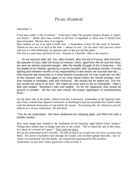# PEARL HARBOR!

(December 7)

It has been called "a day of infamy." It has been called "the greatest military disaster in American history." Books have been written to tell how it happened, or show how it should have been prevented. Movies show it as tragedy.

How seldom we see it as what it really was: a tremendous victory for the cause of freedom. Almost no one saw it as such at the time -- almost no one. Let me share with you two voices who saw it a little differently, on opposite sides of the war and the globe.

The first is a man born and bred for war: Winston S. Churchill. Here is his reaction:

"... So we had won after all**!** Yes, after Dunkirk; after the fall of France; after the horrible episode of Oran; after the threat of invasion, when, apart from the Air and the Navy, we were an almost unarmed people; after the deadly struggle of the U-boat war -- the first Battle of the Atlantic, gained by a hand's-breadth; after seventeen months of lonely fighting and nineteen months of my responsibility in dire stress, we had won the war. ... How long the war would last or in what fashion it would end, no man could tell, nor did I at this moment care. Once again in our long Island history we should emerge, however mauled or mutilated, safe and victorious. We should not be wiped out. Our history would not come to an end. We might not even have to die as individuals. Hitler's fate was sealed. Mussolini's fate was sealed. As for the Japanese, they would be ground to powder. All the rest was merely the proper application of overwhelming force."

On the other side of the globe, Admiral Isoroku Yamamoto, commander of the Imperial Japanese Fleet, learned that Japanese emissaries in Washington had not presented the United States with the planned declaration of war before the attack. On learning this, he refused to join his officers in a victory celebration. He told them:

"You do not understand. We have awakened the sleeping giant, and filled him with a terrible resolve."

How must things have looked to the Sanhedrin on the Saturday night before Easter Sunday? Perhaps they looked then as things look now to the world: "We've heard the last of this Jesus; he's dead, he's buried, he's gone." Then came the dawn.

We do not understand God's victories. He tells us that if we would save our lives, we must lose them. The power of paradox runs through the Gospel, and nowhere greater than this: our salvation was purchased with His death; our resurrection guaranteed by His sacrifice. Sometimes, we just don't know good news when we hear it.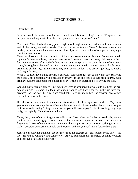#### FORGIVENESS IS ...

#### (December 14)

A professional Christian counselor once shared this definition of forgiveness: "Forgiveness is one person's willingness to bear the consequences of another person's sin."

Verbs, said Miss Hornbuckle (my junior high school English teacher, and her looks and manner well fit the name), are action words. The verb in that sentence is "bear." To bear is to carry a burden, in this instance for someone else. The physical picture is that of one person carrying a load for someone else.

There are all sorts of circumstances in which we bear someone else's burden. Sometimes we do it purely for love -- at least, I assume there are still books to carry and pretty girls to carry them for. Sometimes out of a brotherly love known as team spirit -- we cover for one of our teammates, bearing his or her workload for a while. Sometimes we do it out of a sense of obligation, grumbling all the way. Sometimes it may even be compelled. The greatest joy lies, no doubt, in doing it for love.

We may do it for love, but it also has a purpose. Sometimes it's just to show that love (carrying the books), but occasionally it's because of injury. If the one you love has been injured, even ordinary burdens can become too much to bear. If she's on crutches, he's carrying the skis.

God did that for us at Calvary. Just when we were so wounded that we could not bear the burden of our sins, He came. He took that burden from us, and bore it for us. In this we have forgiveness, for God bore the burden we could not. He is willing to bear the consequences of my sin -- all the way to the Cross.

He asks us in Communion to remember this sacrifice, this bearing of our burdens. May I ask you to remember not only the sacrifice but the way in which it was made? Jesus did not forgive us in word only, saying "I forgive you -- but you still have to pay." He did not forgive grudgingly, but joyfully. He did so in true love.

Think, then, how often our forgiveness falls short. How often we forgive in word only, saying (with an exasperated sigh), "I forgive you -- but if it ever happens again, you can bet I won't forget this." How often we forgive only under the compulsion of circumstance, doing it grudgingly. Consider our Lord's example on the Cross, and ask yourself, "Do I forgive like that?"

Jesus is our supreme example. He forgave us at the greatest cost any human could pay -- his life. He did so willingly and completely. As you remember that sacrifice, examine yourself and see: Do I "go and do likewise?"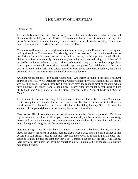### THE CHRIST OF CHRISTMAS

(December 21)

It is a solidly established fact that the early church had no celebration of what we now call Christmas, the birthday of Jesus Christ. The custom at that time was to celebrate the day of a person's death, not birth, and the early church adopted various festivals honoring certain martyrs on the days which marked their deaths as well as Easter.

Christmas itself seems to have originated in the fourth century in the Roman church, and spread rapidly throughout Christendom. Surprisingly, one of the reasons for this rapid spread was the popularity of a certain heresy known as Arianism. Arius, the bishop who started all this, claimed that Jesus was not truly divine in every sense, but was a created being, the highest of all created beings but nonetheless created. The church needed a way to stress to the average Christian -- a person who could not read and depended upon the priests for solid doctrine -- that Jesus was in fact God in the flesh. The celebration of his birth being somewhat in fashion, the church promoted this as a way to instruct the faithful in correct doctrine.

Arianism has an opposite: it is called Gnosticism. Gnosticism is found in the New Testament church as a heresy. While Arianism says that Christ was not fully God, Gnosticism says that he was not fully man. Between these two heresies we have the roots of most of the cults which have plagued Christianity from its beginnings. Many cults just cannot accept Jesus as both "fully God" and "fully man," or, as the New Testament puts it, "Son of God" and "Son of Man."

It is essential to our understanding of Communion that we see him as both. Jesus Christ came to die, to pay the sacrifice due for our sins. Such a sacrifice had to be human, in the flesh, for the sin came from humanity. Such a sacrifice had to be divine, for only God could meet the standard of complete righteous perfection required of such a sacrifice.

That can be difficult to understand, so permit me an example. Let us suppose that I'm bankrupt -- no money and lots of bills to pay. I need some help, and because my credit is so lousy, no one will loan me the money. But, let's suppose, I have a rich uncle. I go to him and because he's a loving uncle he gives me the money to pay my debts.

Note two things: first, he must be a rich uncle. A poor one, a bankrupt like me, won't do. Next, his money has to be in dollars, because that's what I owe, and if he can't change it into dollars I'm still broke. Jesus is like that. Because he is God, he is able to pay the debt. Because he is man, he uses the same currency I do. Combined, he can pay the debt. And like my (very mythical) rich uncle, he loves me enough to do it. Enough to die on the cross so that my debt might be paid.